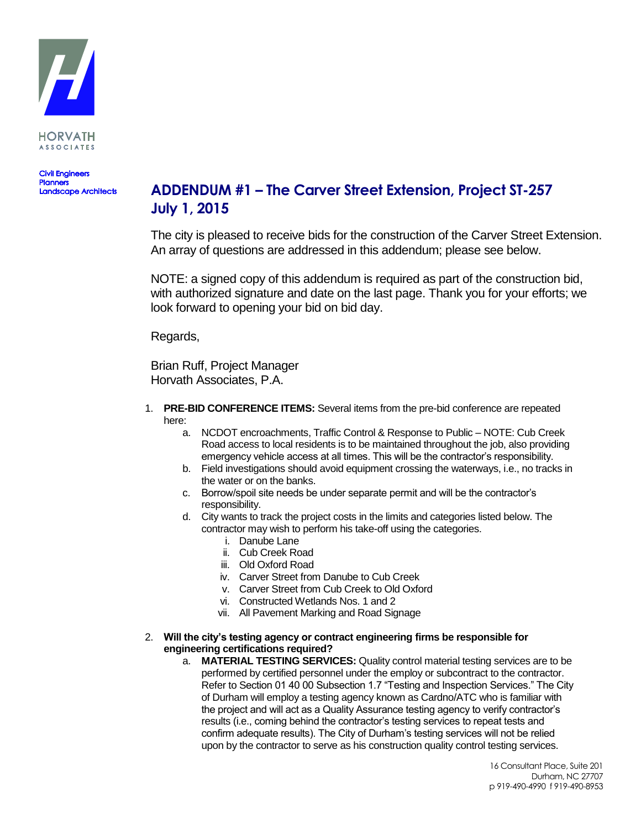

**Civil Engineers Planners**<br>Landscape Architects

## **ADDENDUM #1 – The Carver Street Extension, Project ST-257 July 1, 2015**

The city is pleased to receive bids for the construction of the Carver Street Extension. An array of questions are addressed in this addendum; please see below.

NOTE: a signed copy of this addendum is required as part of the construction bid, with authorized signature and date on the last page. Thank you for your efforts; we look forward to opening your bid on bid day.

Regards,

Brian Ruff, Project Manager Horvath Associates, P.A.

- 1. **PRE-BID CONFERENCE ITEMS:** Several items from the pre-bid conference are repeated here:
	- a. NCDOT encroachments, Traffic Control & Response to Public NOTE: Cub Creek Road access to local residents is to be maintained throughout the job, also providing emergency vehicle access at all times. This will be the contractor's responsibility.
	- b. Field investigations should avoid equipment crossing the waterways, i.e., no tracks in the water or on the banks.
	- c. Borrow/spoil site needs be under separate permit and will be the contractor's responsibility.
	- d. City wants to track the project costs in the limits and categories listed below. The contractor may wish to perform his take-off using the categories.
		- i. Danube Lane
		- ii. Cub Creek Road
		- iii. Old Oxford Road
		- iv. Carver Street from Danube to Cub Creek
		- v. Carver Street from Cub Creek to Old Oxford
		- vi. Constructed Wetlands Nos. 1 and 2
		- vii. All Pavement Marking and Road Signage
- 2. **Will the city's testing agency or contract engineering firms be responsible for engineering certifications required?**
	- a. **MATERIAL TESTING SERVICES:** Quality control material testing services are to be performed by certified personnel under the employ or subcontract to the contractor. Refer to Section 01 40 00 Subsection 1.7 "Testing and Inspection Services." The City of Durham will employ a testing agency known as Cardno/ATC who is familiar with the project and will act as a Quality Assurance testing agency to verify contractor's results (i.e., coming behind the contractor's testing services to repeat tests and confirm adequate results). The City of Durham's testing services will not be relied upon by the contractor to serve as his construction quality control testing services.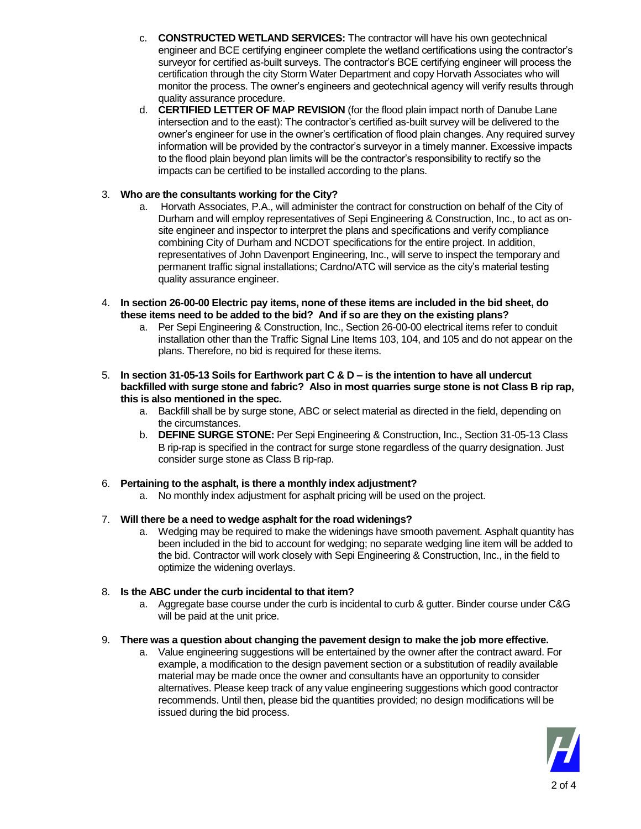- c. **CONSTRUCTED WETLAND SERVICES:** The contractor will have his own geotechnical engineer and BCE certifying engineer complete the wetland certifications using the contractor's surveyor for certified as-built surveys. The contractor's BCE certifying engineer will process the certification through the city Storm Water Department and copy Horvath Associates who will monitor the process. The owner's engineers and geotechnical agency will verify results through quality assurance procedure.
- d. **CERTIFIED LETTER OF MAP REVISION** (for the flood plain impact north of Danube Lane intersection and to the east): The contractor's certified as-built survey will be delivered to the owner's engineer for use in the owner's certification of flood plain changes. Any required survey information will be provided by the contractor's surveyor in a timely manner. Excessive impacts to the flood plain beyond plan limits will be the contractor's responsibility to rectify so the impacts can be certified to be installed according to the plans.

#### 3. **Who are the consultants working for the City?**

- a. Horvath Associates, P.A., will administer the contract for construction on behalf of the City of Durham and will employ representatives of Sepi Engineering & Construction, Inc., to act as onsite engineer and inspector to interpret the plans and specifications and verify compliance combining City of Durham and NCDOT specifications for the entire project. In addition, representatives of John Davenport Engineering, Inc., will serve to inspect the temporary and permanent traffic signal installations; Cardno/ATC will service as the city's material testing quality assurance engineer.
- 4. **In section 26-00-00 Electric pay items, none of these items are included in the bid sheet, do these items need to be added to the bid? And if so are they on the existing plans?**
	- a. Per Sepi Engineering & Construction, Inc., Section 26-00-00 electrical items refer to conduit installation other than the Traffic Signal Line Items 103, 104, and 105 and do not appear on the plans. Therefore, no bid is required for these items.
- 5. **In section 31-05-13 Soils for Earthwork part C & D – is the intention to have all undercut backfilled with surge stone and fabric? Also in most quarries surge stone is not Class B rip rap, this is also mentioned in the spec.**
	- a. Backfill shall be by surge stone, ABC or select material as directed in the field, depending on the circumstances.
	- b. **DEFINE SURGE STONE:** Per Sepi Engineering & Construction, Inc., Section 31-05-13 Class B rip-rap is specified in the contract for surge stone regardless of the quarry designation. Just consider surge stone as Class B rip-rap.

#### 6. **Pertaining to the asphalt, is there a monthly index adjustment?**

a. No monthly index adjustment for asphalt pricing will be used on the project.

#### 7. **Will there be a need to wedge asphalt for the road widenings?**

a. Wedging may be required to make the widenings have smooth pavement. Asphalt quantity has been included in the bid to account for wedging; no separate wedging line item will be added to the bid. Contractor will work closely with Sepi Engineering & Construction, Inc., in the field to optimize the widening overlays.

#### 8. **Is the ABC under the curb incidental to that item?**

a. Aggregate base course under the curb is incidental to curb & gutter. Binder course under C&G will be paid at the unit price.

#### 9. **There was a question about changing the pavement design to make the job more effective.**

a. Value engineering suggestions will be entertained by the owner after the contract award. For example, a modification to the design pavement section or a substitution of readily available material may be made once the owner and consultants have an opportunity to consider alternatives. Please keep track of any value engineering suggestions which good contractor recommends. Until then, please bid the quantities provided; no design modifications will be issued during the bid process.

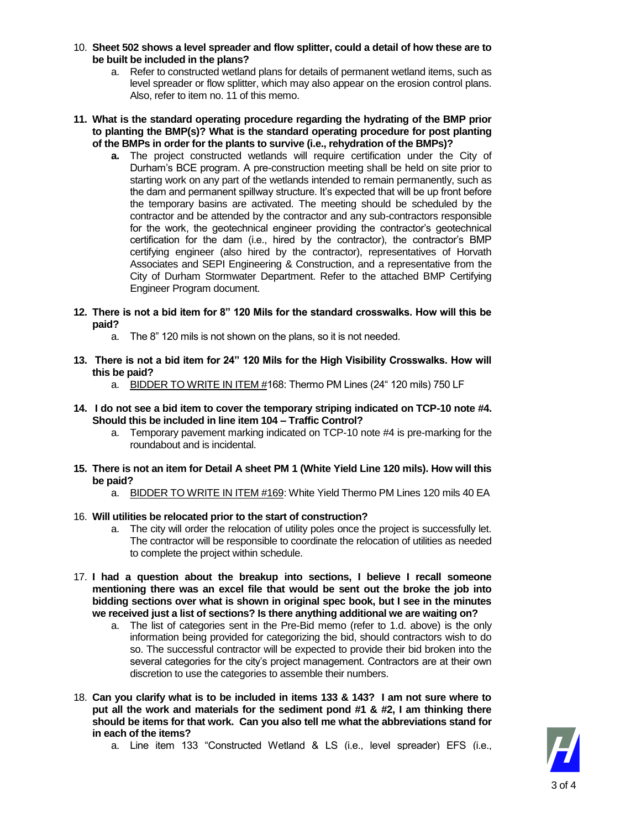- 10. **Sheet 502 shows a level spreader and flow splitter, could a detail of how these are to be built be included in the plans?**
	- a. Refer to constructed wetland plans for details of permanent wetland items, such as level spreader or flow splitter, which may also appear on the erosion control plans. Also, refer to item no. 11 of this memo.
- **11. What is the standard operating procedure regarding the hydrating of the BMP prior to planting the BMP(s)? What is the standard operating procedure for post planting of the BMPs in order for the plants to survive (i.e., rehydration of the BMPs)?**
	- **a.** The project constructed wetlands will require certification under the City of Durham's BCE program. A pre-construction meeting shall be held on site prior to starting work on any part of the wetlands intended to remain permanently, such as the dam and permanent spillway structure. It's expected that will be up front before the temporary basins are activated. The meeting should be scheduled by the contractor and be attended by the contractor and any sub-contractors responsible for the work, the geotechnical engineer providing the contractor's geotechnical certification for the dam (i.e., hired by the contractor), the contractor's BMP certifying engineer (also hired by the contractor), representatives of Horvath Associates and SEPI Engineering & Construction, and a representative from the City of Durham Stormwater Department. Refer to the attached BMP Certifying Engineer Program document.
- **12. There is not a bid item for 8" 120 Mils for the standard crosswalks. How will this be paid?**
	- a. The 8" 120 mils is not shown on the plans, so it is not needed.
- **13. There is not a bid item for 24" 120 Mils for the High Visibility Crosswalks. How will this be paid?**
	- a. BIDDER TO WRITE IN ITEM #168: Thermo PM Lines (24" 120 mils) 750 LF
- **14. I do not see a bid item to cover the temporary striping indicated on TCP-10 note #4. Should this be included in line item 104 – Traffic Control?**
	- a. Temporary pavement marking indicated on TCP-10 note #4 is pre-marking for the roundabout and is incidental.
- **15. There is not an item for Detail A sheet PM 1 (White Yield Line 120 mils). How will this be paid?**
	- a. BIDDER TO WRITE IN ITEM #169: White Yield Thermo PM Lines 120 mils 40 EA
- 16. **Will utilities be relocated prior to the start of construction?**
	- a. The city will order the relocation of utility poles once the project is successfully let. The contractor will be responsible to coordinate the relocation of utilities as needed to complete the project within schedule.
- 17. **I had a question about the breakup into sections, I believe I recall someone mentioning there was an excel file that would be sent out the broke the job into bidding sections over what is shown in original spec book, but I see in the minutes we received just a list of sections? Is there anything additional we are waiting on?**
	- a. The list of categories sent in the Pre-Bid memo (refer to 1.d. above) is the only information being provided for categorizing the bid, should contractors wish to do so. The successful contractor will be expected to provide their bid broken into the several categories for the city's project management. Contractors are at their own discretion to use the categories to assemble their numbers.
- 18. **Can you clarify what is to be included in items 133 & 143? I am not sure where to put all the work and materials for the sediment pond #1 & #2, I am thinking there should be items for that work. Can you also tell me what the abbreviations stand for in each of the items?** 
	- a. Line item 133 "Constructed Wetland & LS (i.e., level spreader) EFS (i.e.,

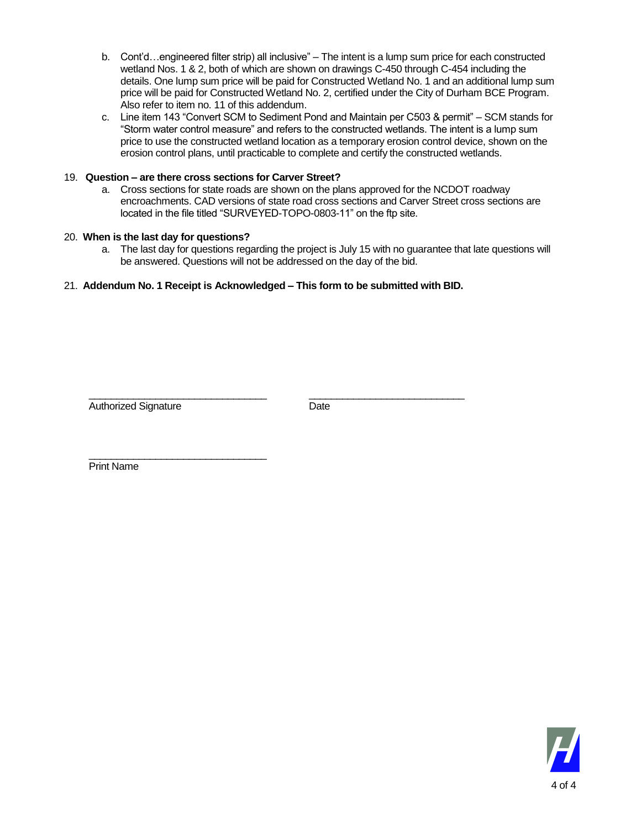- b. Cont'd…engineered filter strip) all inclusive" The intent is a lump sum price for each constructed wetland Nos. 1 & 2, both of which are shown on drawings C-450 through C-454 including the details. One lump sum price will be paid for Constructed Wetland No. 1 and an additional lump sum price will be paid for Constructed Wetland No. 2, certified under the City of Durham BCE Program. Also refer to item no. 11 of this addendum.
- c. Line item 143 "Convert SCM to Sediment Pond and Maintain per C503 & permit" SCM stands for "Storm water control measure" and refers to the constructed wetlands. The intent is a lump sum price to use the constructed wetland location as a temporary erosion control device, shown on the erosion control plans, until practicable to complete and certify the constructed wetlands.

#### 19. **Question – are there cross sections for Carver Street?**

a. Cross sections for state roads are shown on the plans approved for the NCDOT roadway encroachments. CAD versions of state road cross sections and Carver Street cross sections are located in the file titled "SURVEYED-TOPO-0803-11" on the ftp site.

#### 20. **When is the last day for questions?**

a. The last day for questions regarding the project is July 15 with no guarantee that late questions will be answered. Questions will not be addressed on the day of the bid.

#### 21. **Addendum No. 1 Receipt is Acknowledged – This form to be submitted with BID.**

\_\_\_\_\_\_\_\_\_\_\_\_\_\_\_\_\_\_\_\_\_\_\_\_\_\_\_\_\_\_\_\_ \_\_\_\_\_\_\_\_\_\_\_\_\_\_\_\_\_\_\_\_\_\_\_\_\_\_\_\_

Authorized Signature Date

\_\_\_\_\_\_\_\_\_\_\_\_\_\_\_\_\_\_\_\_\_\_\_\_\_\_\_\_\_\_\_\_ Print Name

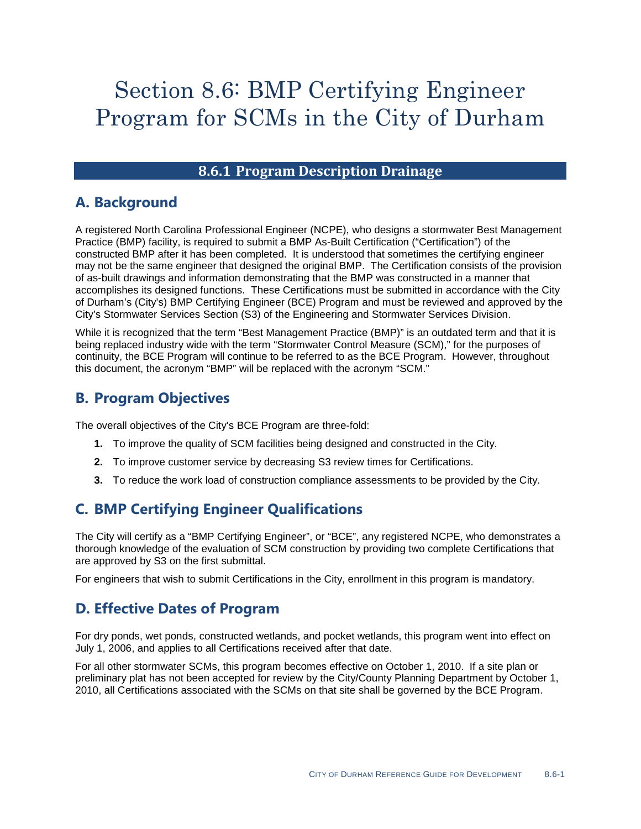# Section 8.6: BMP Certifying Engineer Program for SCMs in the City of Durham

### **8.6.1 Program Description Drainage**

### **A. Background**

A registered North Carolina Professional Engineer (NCPE), who designs a stormwater Best Management Practice (BMP) facility, is required to submit a BMP As-Built Certification ("Certification") of the constructed BMP after it has been completed. It is understood that sometimes the certifying engineer may not be the same engineer that designed the original BMP. The Certification consists of the provision of as-built drawings and information demonstrating that the BMP was constructed in a manner that accomplishes its designed functions. These Certifications must be submitted in accordance with the City of Durham's (City's) BMP Certifying Engineer (BCE) Program and must be reviewed and approved by the City's Stormwater Services Section (S3) of the Engineering and Stormwater Services Division.

While it is recognized that the term "Best Management Practice (BMP)" is an outdated term and that it is being replaced industry wide with the term "Stormwater Control Measure (SCM)," for the purposes of continuity, the BCE Program will continue to be referred to as the BCE Program. However, throughout this document, the acronym "BMP" will be replaced with the acronym "SCM."

### **B. Program Objectives**

The overall objectives of the City's BCE Program are three-fold:

- **1.** To improve the quality of SCM facilities being designed and constructed in the City.
- **2.** To improve customer service by decreasing S3 review times for Certifications.
- **3.** To reduce the work load of construction compliance assessments to be provided by the City.

## **C. BMP Certifying Engineer Qualifications**

The City will certify as a "BMP Certifying Engineer", or "BCE", any registered NCPE, who demonstrates a thorough knowledge of the evaluation of SCM construction by providing two complete Certifications that are approved by S3 on the first submittal.

For engineers that wish to submit Certifications in the City, enrollment in this program is mandatory.

### **D. Effective Dates of Program**

For dry ponds, wet ponds, constructed wetlands, and pocket wetlands, this program went into effect on July 1, 2006, and applies to all Certifications received after that date.

For all other stormwater SCMs, this program becomes effective on October 1, 2010. If a site plan or preliminary plat has not been accepted for review by the City/County Planning Department by October 1, 2010, all Certifications associated with the SCMs on that site shall be governed by the BCE Program.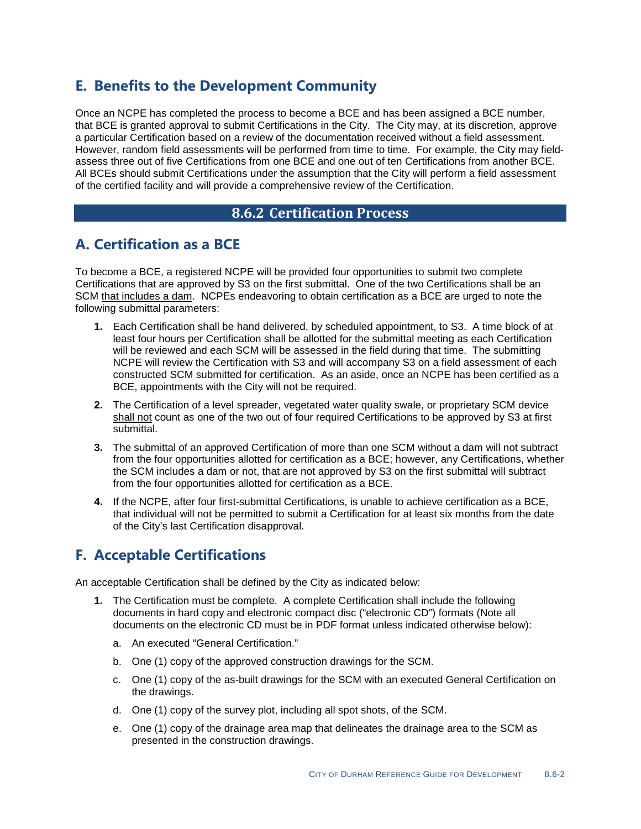### **E. Benefits to the Development Community**

Once an NCPE has completed the process to become a BCE and has been assigned a BCE number, that BCE is granted approval to submit Certifications in the City. The City may, at its discretion, approve a particular Certification based on a review of the documentation received without a field assessment. However, random field assessments will be performed from time to time. For example, the City may fieldassess three out of five Certifications from one BCE and one out of ten Certifications from another BCE. All BCEs should submit Certifications under the assumption that the City will perform a field assessment of the certified facility and will provide a comprehensive review of the Certification.

### **8.6.2 Certification Process**

### **A. Certification as a BCE**

To become a BCE, a registered NCPE will be provided four opportunities to submit two complete Certifications that are approved by S3 on the first submittal. One of the two Certifications shall be an SCM that includes a dam. NCPEs endeavoring to obtain certification as a BCE are urged to note the following submittal parameters:

- **1.** Each Certification shall be hand delivered, by scheduled appointment, to S3. A time block of at least four hours per Certification shall be allotted for the submittal meeting as each Certification will be reviewed and each SCM will be assessed in the field during that time. The submitting NCPE will review the Certification with S3 and will accompany S3 on a field assessment of each constructed SCM submitted for certification. As an aside, once an NCPE has been certified as a BCE, appointments with the City will not be required.
- **2.** The Certification of a level spreader, vegetated water quality swale, or proprietary SCM device shall not count as one of the two out of four required Certifications to be approved by S3 at first submittal.
- **3.** The submittal of an approved Certification of more than one SCM without a dam will not subtract from the four opportunities allotted for certification as a BCE; however, any Certifications, whether the SCM includes a dam or not, that are not approved by S3 on the first submittal will subtract from the four opportunities allotted for certification as a BCE.
- **4.** If the NCPE, after four first-submittal Certifications, is unable to achieve certification as a BCE, that individual will not be permitted to submit a Certification for at least six months from the date of the City's last Certification disapproval.

### **F. Acceptable Certifications**

An acceptable Certification shall be defined by the City as indicated below:

- **1.** The Certification must be complete. A complete Certification shall include the following documents in hard copy and electronic compact disc ("electronic CD") formats (Note all documents on the electronic CD must be in PDF format unless indicated otherwise below):
	- a. An executed "General Certification."
	- b. One (1) copy of the approved construction drawings for the SCM.
	- c. One (1) copy of the as-built drawings for the SCM with an executed General Certification on the drawings.
	- d. One (1) copy of the survey plot, including all spot shots, of the SCM.
	- e. One (1) copy of the drainage area map that delineates the drainage area to the SCM as presented in the construction drawings.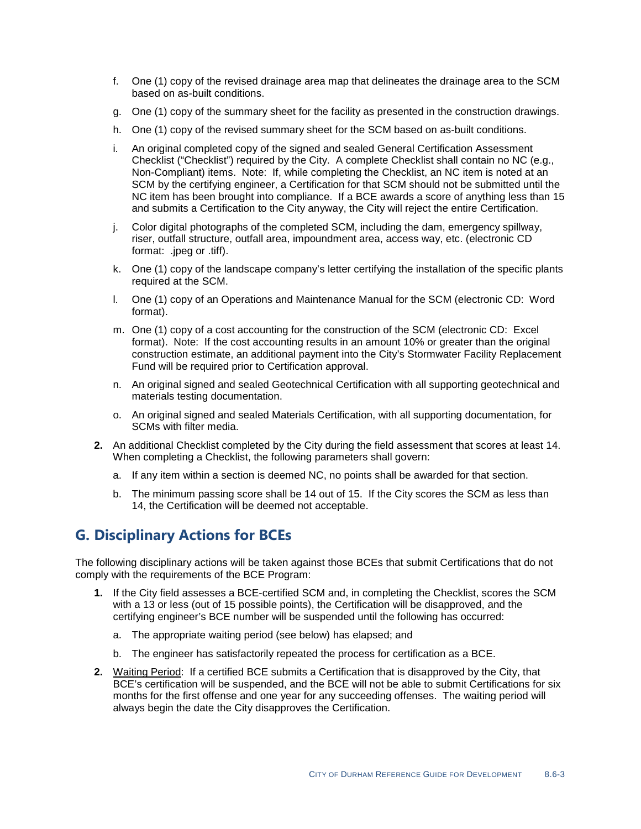- f. One (1) copy of the revised drainage area map that delineates the drainage area to the SCM based on as-built conditions.
- g. One (1) copy of the summary sheet for the facility as presented in the construction drawings.
- h. One (1) copy of the revised summary sheet for the SCM based on as-built conditions.
- i. An original completed copy of the signed and sealed General Certification Assessment Checklist ("Checklist") required by the City. A complete Checklist shall contain no NC (e.g., Non-Compliant) items. Note: If, while completing the Checklist, an NC item is noted at an SCM by the certifying engineer, a Certification for that SCM should not be submitted until the NC item has been brought into compliance. If a BCE awards a score of anything less than 15 and submits a Certification to the City anyway, the City will reject the entire Certification.
- j. Color digital photographs of the completed SCM, including the dam, emergency spillway, riser, outfall structure, outfall area, impoundment area, access way, etc. (electronic CD format: .jpeg or .tiff).
- k. One (1) copy of the landscape company's letter certifying the installation of the specific plants required at the SCM.
- l. One (1) copy of an Operations and Maintenance Manual for the SCM (electronic CD: Word format).
- m. One (1) copy of a cost accounting for the construction of the SCM (electronic CD: Excel format). Note: If the cost accounting results in an amount 10% or greater than the original construction estimate, an additional payment into the City's Stormwater Facility Replacement Fund will be required prior to Certification approval.
- n. An original signed and sealed Geotechnical Certification with all supporting geotechnical and materials testing documentation.
- o. An original signed and sealed Materials Certification, with all supporting documentation, for SCMs with filter media.
- **2.** An additional Checklist completed by the City during the field assessment that scores at least 14. When completing a Checklist, the following parameters shall govern:
	- a. If any item within a section is deemed NC, no points shall be awarded for that section.
	- b. The minimum passing score shall be 14 out of 15. If the City scores the SCM as less than 14, the Certification will be deemed not acceptable.

### **G. Disciplinary Actions for BCEs**

The following disciplinary actions will be taken against those BCEs that submit Certifications that do not comply with the requirements of the BCE Program:

- **1.** If the City field assesses a BCE-certified SCM and, in completing the Checklist, scores the SCM with a 13 or less (out of 15 possible points), the Certification will be disapproved, and the certifying engineer's BCE number will be suspended until the following has occurred:
	- a. The appropriate waiting period (see below) has elapsed; and
	- b. The engineer has satisfactorily repeated the process for certification as a BCE.
- **2.** Waiting Period: If a certified BCE submits a Certification that is disapproved by the City, that BCE's certification will be suspended, and the BCE will not be able to submit Certifications for six months for the first offense and one year for any succeeding offenses. The waiting period will always begin the date the City disapproves the Certification.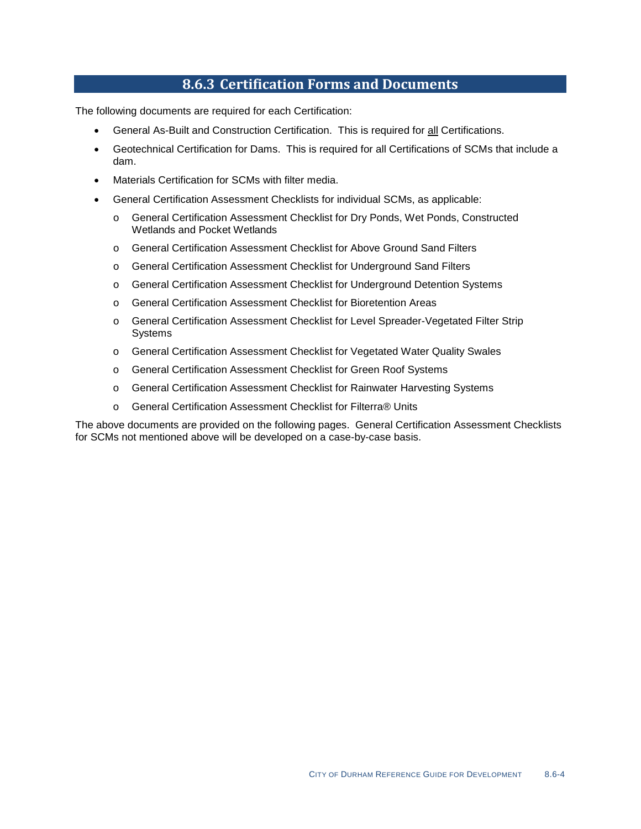#### **8.6.3 Certification Forms and Documents**

The following documents are required for each Certification:

- General As-Built and Construction Certification. This is required for all Certifications.
- Geotechnical Certification for Dams. This is required for all Certifications of SCMs that include a dam.
- Materials Certification for SCMs with filter media.
- General Certification Assessment Checklists for individual SCMs, as applicable:
	- o General Certification Assessment Checklist for Dry Ponds, Wet Ponds, Constructed Wetlands and Pocket Wetlands
	- o General Certification Assessment Checklist for Above Ground Sand Filters
	- o General Certification Assessment Checklist for Underground Sand Filters
	- o General Certification Assessment Checklist for Underground Detention Systems
	- o General Certification Assessment Checklist for Bioretention Areas
	- o General Certification Assessment Checklist for Level Spreader-Vegetated Filter Strip Systems
	- o General Certification Assessment Checklist for Vegetated Water Quality Swales
	- o General Certification Assessment Checklist for Green Roof Systems
	- o General Certification Assessment Checklist for Rainwater Harvesting Systems
	- o General Certification Assessment Checklist for Filterra® Units

The above documents are provided on the following pages. General Certification Assessment Checklists for SCMs not mentioned above will be developed on a case-by-case basis.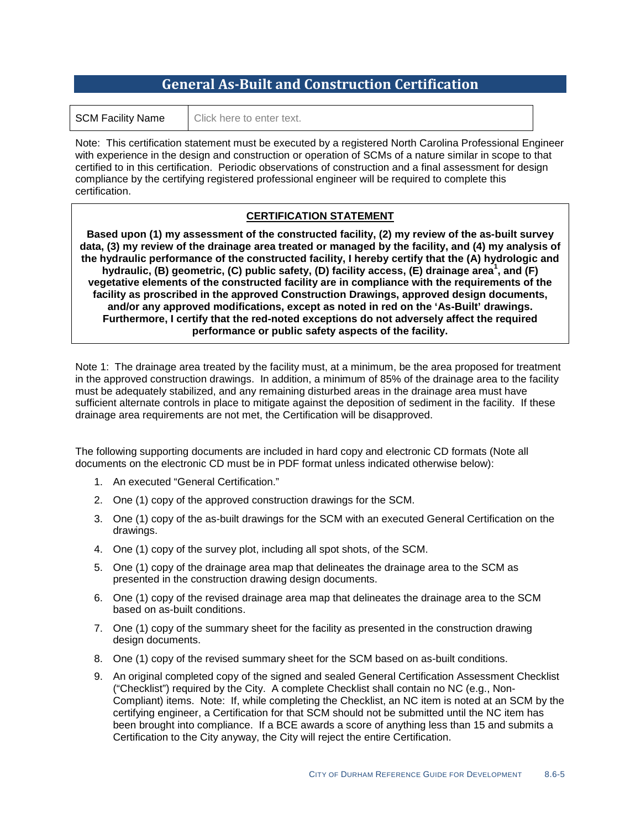### **General As-Built and Construction Certification**

| <b>SCM Facility Name</b> | Click here to enter text. |  |
|--------------------------|---------------------------|--|
|--------------------------|---------------------------|--|

Note: This certification statement must be executed by a registered North Carolina Professional Engineer with experience in the design and construction or operation of SCMs of a nature similar in scope to that certified to in this certification. Periodic observations of construction and a final assessment for design compliance by the certifying registered professional engineer will be required to complete this certification.

#### **CERTIFICATION STATEMENT**

**Based upon (1) my assessment of the constructed facility, (2) my review of the as-built survey data, (3) my review of the drainage area treated or managed by the facility, and (4) my analysis of the hydraulic performance of the constructed facility, I hereby certify that the (A) hydrologic and hydraulic, (B) geometric, (C) public safety, (D) facility access, (E) drainage area<sup>1</sup> , and (F) vegetative elements of the constructed facility are in compliance with the requirements of the facility as proscribed in the approved Construction Drawings, approved design documents, and/or any approved modifications, except as noted in red on the 'As-Built' drawings. Furthermore, I certify that the red-noted exceptions do not adversely affect the required performance or public safety aspects of the facility.**

Note 1: The drainage area treated by the facility must, at a minimum, be the area proposed for treatment in the approved construction drawings. In addition, a minimum of 85% of the drainage area to the facility must be adequately stabilized, and any remaining disturbed areas in the drainage area must have sufficient alternate controls in place to mitigate against the deposition of sediment in the facility. If these drainage area requirements are not met, the Certification will be disapproved.

The following supporting documents are included in hard copy and electronic CD formats (Note all documents on the electronic CD must be in PDF format unless indicated otherwise below):

- 1. An executed "General Certification."
- 2. One (1) copy of the approved construction drawings for the SCM.
- 3. One (1) copy of the as-built drawings for the SCM with an executed General Certification on the drawings.
- 4. One (1) copy of the survey plot, including all spot shots, of the SCM.
- 5. One (1) copy of the drainage area map that delineates the drainage area to the SCM as presented in the construction drawing design documents.
- 6. One (1) copy of the revised drainage area map that delineates the drainage area to the SCM based on as-built conditions.
- 7. One (1) copy of the summary sheet for the facility as presented in the construction drawing design documents.
- 8. One (1) copy of the revised summary sheet for the SCM based on as-built conditions.
- 9. An original completed copy of the signed and sealed General Certification Assessment Checklist ("Checklist") required by the City. A complete Checklist shall contain no NC (e.g., Non-Compliant) items. Note: If, while completing the Checklist, an NC item is noted at an SCM by the certifying engineer, a Certification for that SCM should not be submitted until the NC item has been brought into compliance. If a BCE awards a score of anything less than 15 and submits a Certification to the City anyway, the City will reject the entire Certification.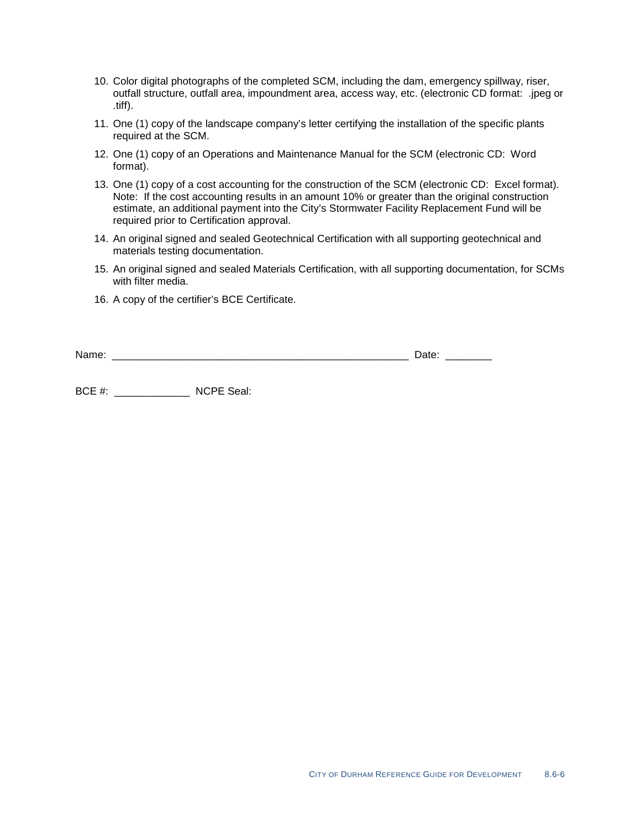- 10. Color digital photographs of the completed SCM, including the dam, emergency spillway, riser, outfall structure, outfall area, impoundment area, access way, etc. (electronic CD format: .jpeg or .tiff).
- 11. One (1) copy of the landscape company's letter certifying the installation of the specific plants required at the SCM.
- 12. One (1) copy of an Operations and Maintenance Manual for the SCM (electronic CD: Word format).
- 13. One (1) copy of a cost accounting for the construction of the SCM (electronic CD: Excel format). Note: If the cost accounting results in an amount 10% or greater than the original construction estimate, an additional payment into the City's Stormwater Facility Replacement Fund will be required prior to Certification approval.
- 14. An original signed and sealed Geotechnical Certification with all supporting geotechnical and materials testing documentation.
- 15. An original signed and sealed Materials Certification, with all supporting documentation, for SCMs with filter media.
- 16. A copy of the certifier's BCE Certificate.

| Name<br><b>. </b> |        | -<br>ww<br>_ |  |
|-------------------|--------|--------------|--|
|                   | ______ | .            |  |

BCE #: \_\_\_\_\_\_\_\_\_\_\_\_\_ NCPE Seal: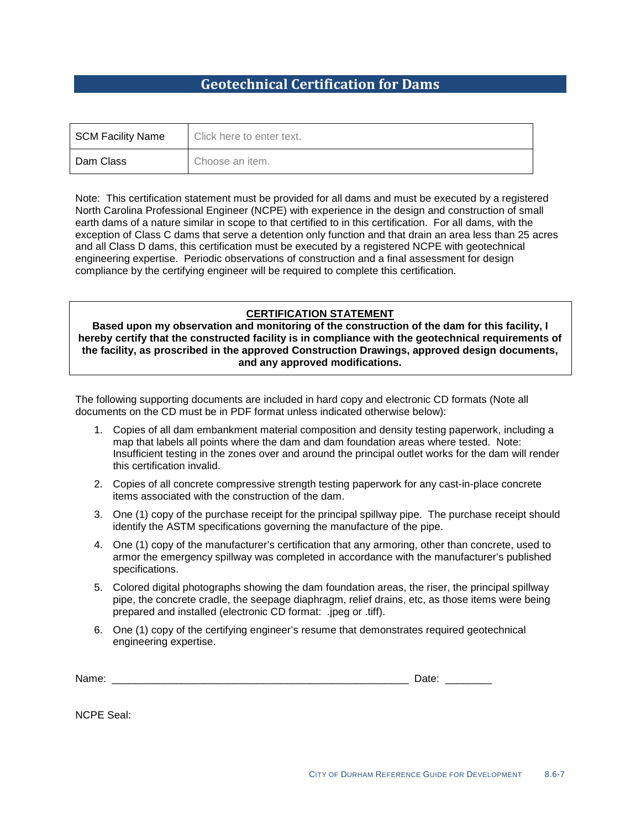### **Geotechnical Certification for Dams**

| SCM Facility Name | Click here to enter text. |
|-------------------|---------------------------|
| Dam Class         | Choose an item.           |

Note: This certification statement must be provided for all dams and must be executed by a registered North Carolina Professional Engineer (NCPE) with experience in the design and construction of small earth dams of a nature similar in scope to that certified to in this certification. For all dams, with the exception of Class C dams that serve a detention only function and that drain an area less than 25 acres and all Class D dams, this certification must be executed by a registered NCPE with geotechnical engineering expertise. Periodic observations of construction and a final assessment for design compliance by the certifying engineer will be required to complete this certification.

#### **CERTIFICATION STATEMENT**

**Based upon my observation and monitoring of the construction of the dam for this facility, I hereby certify that the constructed facility is in compliance with the geotechnical requirements of the facility, as proscribed in the approved Construction Drawings, approved design documents, and any approved modifications.**

The following supporting documents are included in hard copy and electronic CD formats (Note all documents on the CD must be in PDF format unless indicated otherwise below):

- 1. Copies of all dam embankment material composition and density testing paperwork, including a map that labels all points where the dam and dam foundation areas where tested. Note: Insufficient testing in the zones over and around the principal outlet works for the dam will render this certification invalid.
- 2. Copies of all concrete compressive strength testing paperwork for any cast-in-place concrete items associated with the construction of the dam.
- 3. One (1) copy of the purchase receipt for the principal spillway pipe. The purchase receipt should identify the ASTM specifications governing the manufacture of the pipe.
- 4. One (1) copy of the manufacturer's certification that any armoring, other than concrete, used to armor the emergency spillway was completed in accordance with the manufacturer's published specifications.
- 5. Colored digital photographs showing the dam foundation areas, the riser, the principal spillway pipe, the concrete cradle, the seepage diaphragm, relief drains, etc, as those items were being prepared and installed (electronic CD format: .jpeg or .tiff).
- 6. One (1) copy of the certifying engineer's resume that demonstrates required geotechnical engineering expertise.

| N2<br>_____ | _<br>___<br>______ |
|-------------|--------------------|
|-------------|--------------------|

NCPE Seal: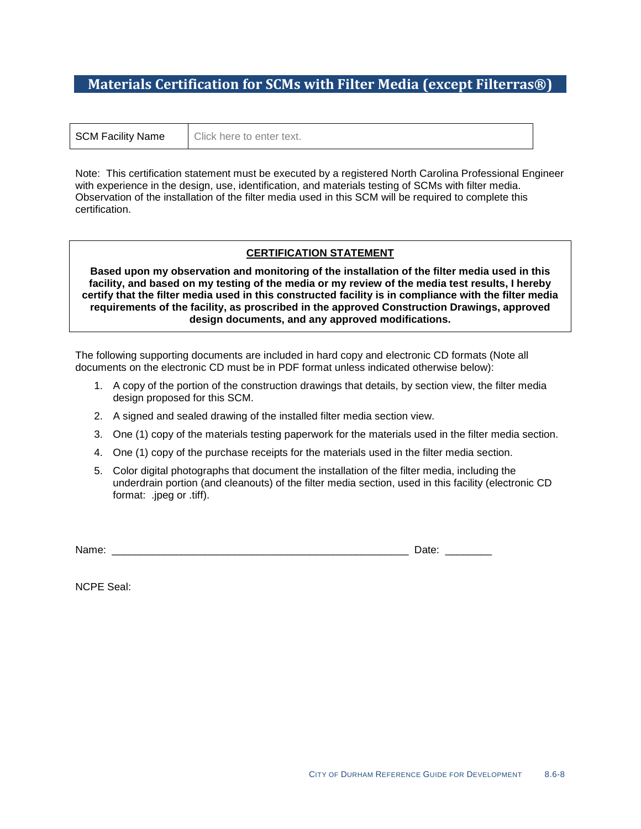### **Materials Certification for SCMs with Filter Media (except Filterras®)**

| <b>SCM Facility Name</b> | Click here to enter text. |  |
|--------------------------|---------------------------|--|
|--------------------------|---------------------------|--|

Note: This certification statement must be executed by a registered North Carolina Professional Engineer with experience in the design, use, identification, and materials testing of SCMs with filter media. Observation of the installation of the filter media used in this SCM will be required to complete this certification.

#### **CERTIFICATION STATEMENT**

**Based upon my observation and monitoring of the installation of the filter media used in this facility, and based on my testing of the media or my review of the media test results, I hereby certify that the filter media used in this constructed facility is in compliance with the filter media requirements of the facility, as proscribed in the approved Construction Drawings, approved design documents, and any approved modifications.**

The following supporting documents are included in hard copy and electronic CD formats (Note all documents on the electronic CD must be in PDF format unless indicated otherwise below):

- 1. A copy of the portion of the construction drawings that details, by section view, the filter media design proposed for this SCM.
- 2. A signed and sealed drawing of the installed filter media section view.
- 3. One (1) copy of the materials testing paperwork for the materials used in the filter media section.
- 4. One (1) copy of the purchase receipts for the materials used in the filter media section.
- 5. Color digital photographs that document the installation of the filter media, including the underdrain portion (and cleanouts) of the filter media section, used in this facility (electronic CD format: .jpeg or .tiff).

Name: \_\_\_\_\_\_\_\_\_\_\_\_\_\_\_\_\_\_\_\_\_\_\_\_\_\_\_\_\_\_\_\_\_\_\_\_\_\_\_\_\_\_\_\_\_\_\_\_\_\_\_ Date: \_\_\_\_\_\_\_\_

NCPE Seal: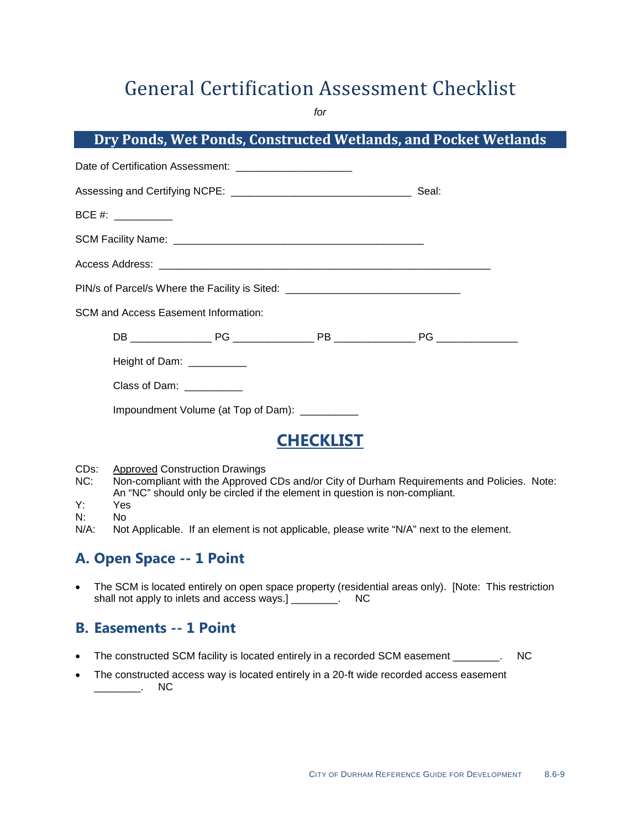*for*

### **Dry Ponds, Wet Ponds, Constructed Wetlands, and Pocket Wetlands**

| BCE #: ____________                                                              |  |
|----------------------------------------------------------------------------------|--|
|                                                                                  |  |
|                                                                                  |  |
| PIN/s of Parcel/s Where the Facility is Sited: _________________________________ |  |
| SCM and Access Easement Information:                                             |  |
|                                                                                  |  |
| Height of Dam: ___________                                                       |  |
| Class of Dam: Class of Dam:                                                      |  |
| Impoundment Volume (at Top of Dam): __________                                   |  |
|                                                                                  |  |

## **CHECKLIST**

- CDs:<br>NC: Approved Construction Drawings
- Non-compliant with the Approved CDs and/or City of Durham Requirements and Policies. Note: An "NC" should only be circled if the element in question is non-compliant.
- Y: Yes
- N: No<br>N/A: Not

Not Applicable. If an element is not applicable, please write "N/A" next to the element.

### **A. Open Space -- 1 Point**

• The SCM is located entirely on open space property (residential areas only). [Note: This restriction shall not apply to inlets and access ways.] shall not apply to inlets and access ways.] \_\_\_\_\_\_\_\_.

### **B. Easements -- 1 Point**

- The constructed SCM facility is located entirely in a recorded SCM easement \_\_\_\_\_\_\_. NC
- The constructed access way is located entirely in a 20-ft wide recorded access easement \_\_\_\_\_\_\_\_. NC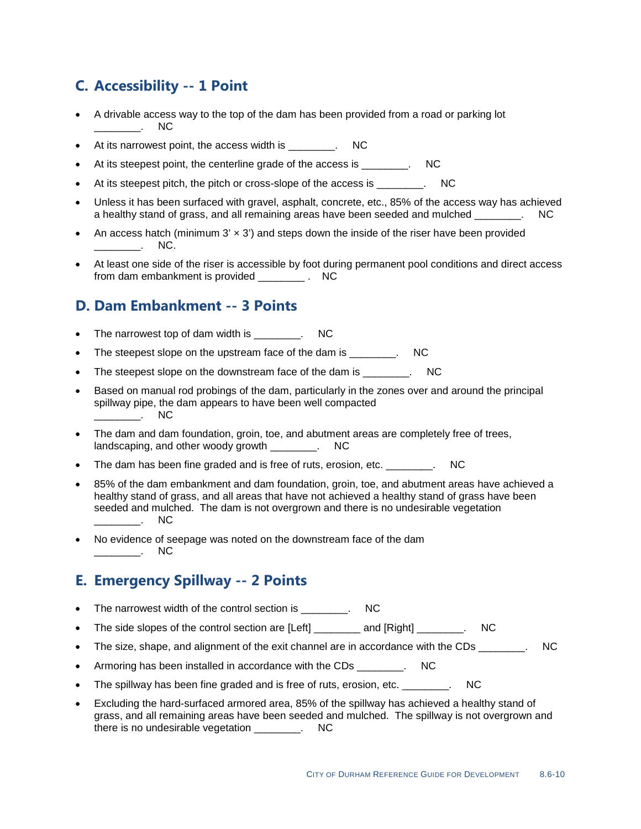### **C. Accessibility -- 1 Point**

- A drivable access way to the top of the dam has been provided from a road or parking lot  $\frac{1}{\sqrt{2}}$
- At its narrowest point, the access width is \_\_\_\_\_\_\_. NC
- At its steepest point, the centerline grade of the access is \_\_\_\_\_\_\_\_. NC
- At its steepest pitch, the pitch or cross-slope of the access is \_\_\_\_\_\_\_. NC
- Unless it has been surfaced with gravel, asphalt, concrete, etc., 85% of the access way has achieved a healthy stand of grass, and all remaining areas have been seeded and mulched \_\_\_\_\_\_\_. NC
- An access hatch (minimum  $3' \times 3'$ ) and steps down the inside of the riser have been provided  $\overline{\phantom{a}}$   $\overline{\phantom{a}}$   $\overline{\phantom{a}}$  NC.
- At least one side of the riser is accessible by foot during permanent pool conditions and direct access from dam embankment is provided . NC

### **D. Dam Embankment -- 3 Points**

- The narrowest top of dam width is The narrowest top of dam width is
- The steepest slope on the upstream face of the dam is The steepest slope on the upstream face of the dam is
- The steepest slope on the downstream face of the dam is THC
- Based on manual rod probings of the dam, particularly in the zones over and around the principal spillway pipe, the dam appears to have been well compacted \_\_\_\_\_\_\_\_\_\_. NC
- The dam and dam foundation, groin, toe, and abutment areas are completely free of trees, landscaping, and other woody growth Theory and  $\sim$  NC
- The dam has been fine graded and is free of ruts, erosion, etc. The dam has been fine graded and is free of ruts, erosion, etc.
- 85% of the dam embankment and dam foundation, groin, toe, and abutment areas have achieved a healthy stand of grass, and all areas that have not achieved a healthy stand of grass have been seeded and mulched. The dam is not overgrown and there is no undesirable vegetation  $\sim$
- No evidence of seepage was noted on the downstream face of the dam \_\_\_\_\_\_\_\_. NC

### **E. Emergency Spillway -- 2 Points**

- The narrowest width of the control section is The narrowest width of the control section is
- The side slopes of the control section are [Left] \_\_\_\_\_\_\_\_\_\_ and [Right] \_\_\_\_\_\_\_\_. NC
- The size, shape, and alignment of the exit channel are in accordance with the CDs  $\qquad \qquad \text{NC}$
- Armoring has been installed in accordance with the CDs \_\_\_\_\_\_\_\_. NC
- The spillway has been fine graded and is free of ruts, erosion, etc. The spillway has been fine graded and is free of ruts, erosion, etc.
- Excluding the hard-surfaced armored area, 85% of the spillway has achieved a healthy stand of grass, and all remaining areas have been seeded and mulched. The spillway is not overgrown and there is no undesirable vegetation \_\_\_\_\_\_\_\_. NC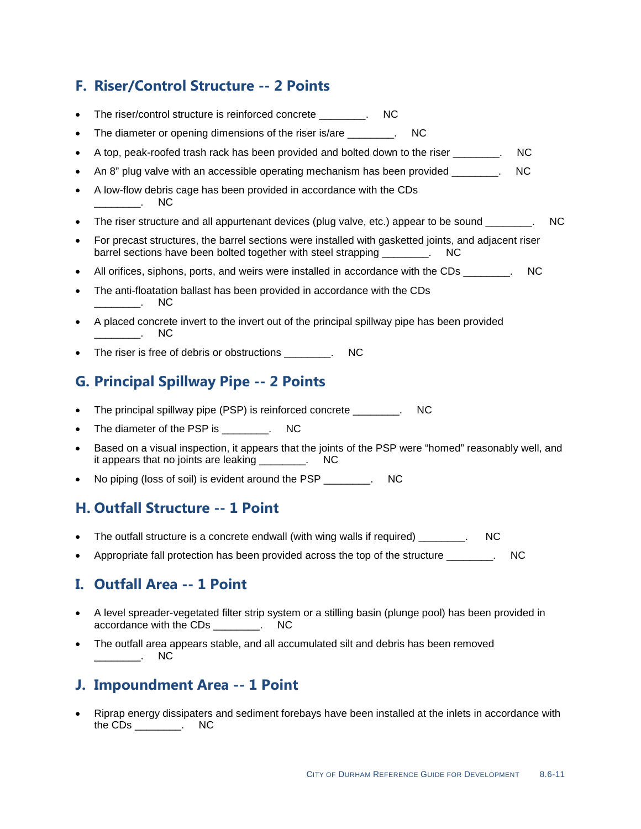### **F. Riser/Control Structure -- 2 Points**

- The riser/control structure is reinforced concrete \_\_\_\_\_\_\_\_. NC
- The diameter or opening dimensions of the riser is/are The diameter or opening dimensions of the riser is/are
- A top, peak-roofed trash rack has been provided and bolted down to the riser \_\_\_\_\_\_\_\_. NC
- An 8" plug valve with an accessible operating mechanism has been provided \_\_\_\_\_\_\_\_. NC
- A low-flow debris cage has been provided in accordance with the CDs \_\_\_\_\_\_\_\_. NC
- The riser structure and all appurtenant devices (plug valve, etc.) appear to be sound \_\_\_\_\_\_\_. NC
- For precast structures, the barrel sections were installed with gasketted joints, and adjacent riser barrel sections have been bolted together with steel strapping \_\_\_\_\_\_\_. NC
- All orifices, siphons, ports, and weirs were installed in accordance with the CDs  $\sim$
- The anti-floatation ballast has been provided in accordance with the CDs \_\_\_\_\_\_\_\_. NC
- A placed concrete invert to the invert out of the principal spillway pipe has been provided \_\_\_\_\_\_\_\_. NC
- The riser is free of debris or obstructions \_\_\_\_\_\_\_. NC

### **G. Principal Spillway Pipe -- 2 Points**

- The principal spillway pipe (PSP) is reinforced concrete \_\_\_\_\_\_\_. NC
- The diameter of the PSP is The diameter of the PSP is
- Based on a visual inspection, it appears that the joints of the PSP were "homed" reasonably well, and it appears that no joints are leaking \_\_\_\_\_\_\_\_. NC
- No piping (loss of soil) is evident around the PSP \_\_\_\_\_\_\_\_. NC

### **H. Outfall Structure -- 1 Point**

- The outfall structure is a concrete endwall (with wing walls if required) The outfall structure is a concrete endwall (with wing walls if required)
- Appropriate fall protection has been provided across the top of the structure \_\_\_\_\_\_\_. NC

### **I. Outfall Area -- 1 Point**

- A level spreader-vegetated filter strip system or a stilling basin (plunge pool) has been provided in accordance with the CDs \_\_\_\_\_\_\_\_. NC
- The outfall area appears stable, and all accumulated silt and debris has been removed \_\_\_\_\_\_\_\_. NC

### **J. Impoundment Area -- 1 Point**

• Riprap energy dissipaters and sediment forebays have been installed at the inlets in accordance with the CDs \_\_\_\_\_\_\_\_. NC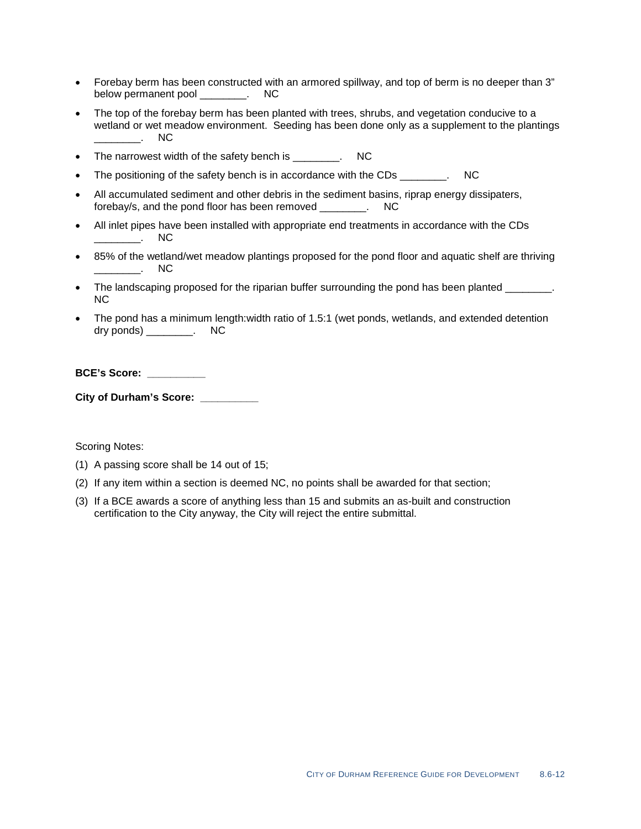- Forebay berm has been constructed with an armored spillway, and top of berm is no deeper than 3" below permanent pool entitled by NC
- The top of the forebay berm has been planted with trees, shrubs, and vegetation conducive to a wetland or wet meadow environment. Seeding has been done only as a supplement to the plantings \_\_\_\_\_\_\_\_. NC
- The narrowest width of the safety bench is \_\_\_\_\_\_\_\_. NC
- The positioning of the safety bench is in accordance with the CDs  $\cdot$  NC
- All accumulated sediment and other debris in the sediment basins, riprap energy dissipaters, forebay/s, and the pond floor has been removed \_\_\_\_\_\_\_\_. NC
- All inlet pipes have been installed with appropriate end treatments in accordance with the CDs  $\overline{\phantom{a}}$  . NC
- 85% of the wetland/wet meadow plantings proposed for the pond floor and aquatic shelf are thriving \_\_\_\_\_\_\_\_. NC
- The landscaping proposed for the riparian buffer surrounding the pond has been planted  $\blacksquare$ . NC
- The pond has a minimum length:width ratio of 1.5:1 (wet ponds, wetlands, and extended detention dry ponds) \_\_\_\_\_\_\_\_. NC

#### **BCE's Score: \_\_\_\_\_\_\_\_\_\_**

**City of Durham's Score: \_\_\_\_\_\_\_\_\_\_**

- (1) A passing score shall be 14 out of 15;
- (2) If any item within a section is deemed NC, no points shall be awarded for that section;
- (3) If a BCE awards a score of anything less than 15 and submits an as-built and construction certification to the City anyway, the City will reject the entire submittal.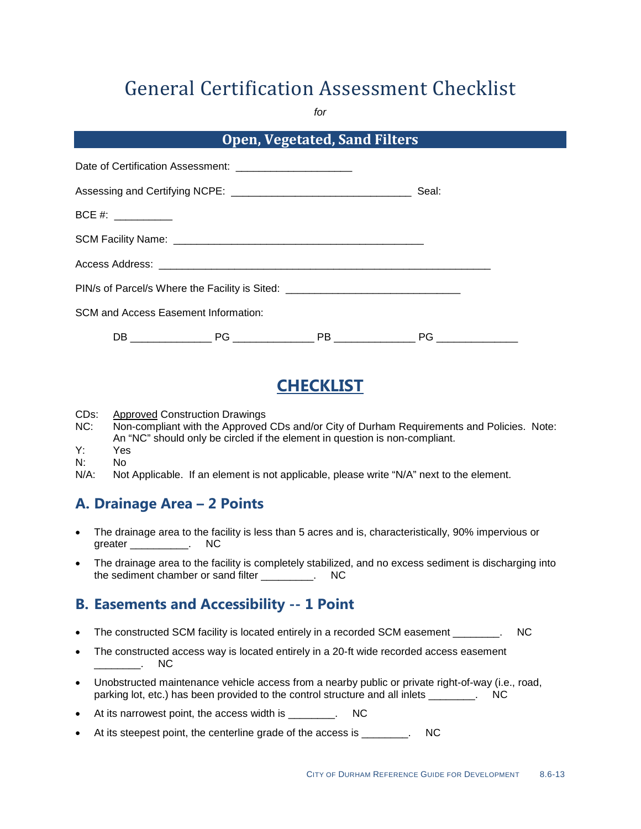*for*

| <b>Open, Vegetated, Sand Filters</b>        |                                                             |                                                                                  |  |
|---------------------------------------------|-------------------------------------------------------------|----------------------------------------------------------------------------------|--|
|                                             | Date of Certification Assessment: _________________________ |                                                                                  |  |
|                                             |                                                             |                                                                                  |  |
| BCE #: ____________                         |                                                             |                                                                                  |  |
|                                             |                                                             |                                                                                  |  |
|                                             |                                                             |                                                                                  |  |
|                                             |                                                             | PIN/s of Parcel/s Where the Facility is Sited: _________________________________ |  |
| <b>SCM and Access Easement Information:</b> |                                                             |                                                                                  |  |
|                                             |                                                             |                                                                                  |  |

# **CHECKLIST**

CDs:<br>NC: Approved Construction Drawings

- Non-compliant with the Approved CDs and/or City of Durham Requirements and Policies. Note: An "NC" should only be circled if the element in question is non-compliant.
- Y: Yes
- N: No<br>N/A: Not
- Not Applicable. If an element is not applicable, please write "N/A" next to the element.

### **A. Drainage Area – 2 Points**

- The drainage area to the facility is less than 5 acres and is, characteristically, 90% impervious or greater \_\_\_\_\_\_\_\_\_\_\_. NC
- The drainage area to the facility is completely stabilized, and no excess sediment is discharging into the sediment chamber or sand filter The Sediment chamber or sand filter Theory

### **B. Easements and Accessibility -- 1 Point**

- The constructed SCM facility is located entirely in a recorded SCM easement \_\_\_\_\_\_\_\_. NC
- The constructed access way is located entirely in a 20-ft wide recorded access easement  $\overline{\phantom{a}}$  . NC
- Unobstructed maintenance vehicle access from a nearby public or private right-of-way (i.e., road, parking lot, etc.) has been provided to the control structure and all inlets \_\_\_\_\_\_\_\_. NC
- At its narrowest point, the access width is \_\_\_\_\_\_\_\_. NC
- At its steepest point, the centerline grade of the access is Theorem 2011.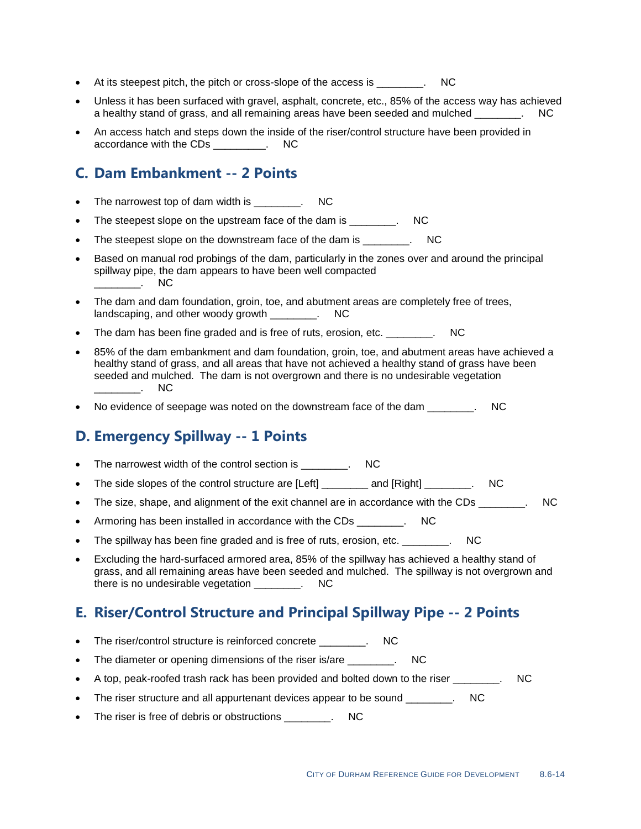- At its steepest pitch, the pitch or cross-slope of the access is \_\_\_\_\_\_\_\_. NC
- Unless it has been surfaced with gravel, asphalt, concrete, etc., 85% of the access way has achieved a healthy stand of grass, and all remaining areas have been seeded and mulched  $\qquad \qquad$  . NC
- An access hatch and steps down the inside of the riser/control structure have been provided in accordance with the CDs \_\_\_\_\_\_\_\_\_. NC

### **C. Dam Embankment -- 2 Points**

- The narrowest top of dam width is The narrowest top of dam width is
- The steepest slope on the upstream face of the dam is The steepest slope on the upstream face of the dam is
- The steepest slope on the downstream face of the dam is \_\_\_\_\_\_\_\_. NC
- Based on manual rod probings of the dam, particularly in the zones over and around the principal spillway pipe, the dam appears to have been well compacted  $\qquad \qquad \qquad \text{NC}$
- The dam and dam foundation, groin, toe, and abutment areas are completely free of trees, landscaping, and other woody growth Theorem and  $\sim$  NC
- The dam has been fine graded and is free of ruts, erosion, etc. \_\_\_\_\_\_\_\_. NC
- 85% of the dam embankment and dam foundation, groin, toe, and abutment areas have achieved a healthy stand of grass, and all areas that have not achieved a healthy stand of grass have been seeded and mulched. The dam is not overgrown and there is no undesirable vegetation  $\overline{\phantom{a}}$  . NC
- No evidence of seepage was noted on the downstream face of the dam  $\qquad \qquad$ .

### **D. Emergency Spillway -- 1 Points**

- The narrowest width of the control section is The narrowest width of the control section is
- The side slopes of the control structure are [Left] and [Right]  $\blacksquare$
- The size, shape, and alignment of the exit channel are in accordance with the CDs  $\qquad \qquad$  NC
- Armoring has been installed in accordance with the CDs Theorem 2012.
- The spillway has been fine graded and is free of ruts, erosion, etc. \_\_\_\_\_\_\_\_. NC
- Excluding the hard-surfaced armored area, 85% of the spillway has achieved a healthy stand of grass, and all remaining areas have been seeded and mulched. The spillway is not overgrown and there is no undesirable vegetation \_\_\_\_\_\_\_\_. NC

### **E. Riser/Control Structure and Principal Spillway Pipe -- 2 Points**

- The riser/control structure is reinforced concrete The riser/control structure is reinforced concrete
- The diameter or opening dimensions of the riser is/are \_\_\_\_\_\_\_\_. NC
- A top, peak-roofed trash rack has been provided and bolted down to the riser  $\blacksquare$ . NC
- The riser structure and all appurtenant devices appear to be sound \_\_\_\_\_\_\_. NC
- The riser is free of debris or obstructions \_\_\_\_\_\_\_\_. NC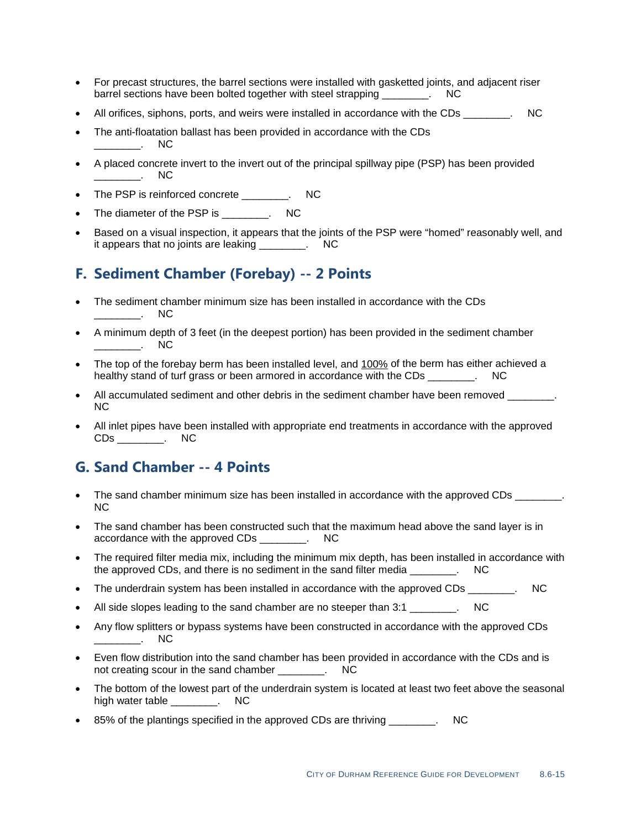- For precast structures, the barrel sections were installed with gasketted joints, and adjacent riser barrel sections have been bolted together with steel strapping \_\_\_\_\_\_\_\_. NC
- All orifices, siphons, ports, and weirs were installed in accordance with the CDs  $\qquad \qquad$  NC
- The anti-floatation ballast has been provided in accordance with the CDs  $\overline{\phantom{a}}$  . NC
- A placed concrete invert to the invert out of the principal spillway pipe (PSP) has been provided \_\_\_\_\_\_\_\_. NC
- The PSP is reinforced concrete \_\_\_\_\_\_\_\_. NC
- The diameter of the PSP is \_\_\_\_\_\_\_\_. NC
- Based on a visual inspection, it appears that the joints of the PSP were "homed" reasonably well, and it appears that no joints are leaking Theory and NC

### **F. Sediment Chamber (Forebay) -- 2 Points**

- The sediment chamber minimum size has been installed in accordance with the CDs \_\_\_\_\_\_\_\_. NC
- A minimum depth of 3 feet (in the deepest portion) has been provided in the sediment chamber  $\blacksquare$ . NC
- The top of the forebay berm has been installed level, and 100% of the berm has either achieved a healthy stand of turf grass or been armored in accordance with the CDs \_\_\_\_\_\_\_. NC
- All accumulated sediment and other debris in the sediment chamber have been removed \_\_\_\_\_\_\_. NC
- All inlet pipes have been installed with appropriate end treatments in accordance with the approved CDs \_\_\_\_\_\_\_\_. NC

### **G. Sand Chamber -- 4 Points**

- The sand chamber minimum size has been installed in accordance with the approved CDs \_\_\_\_\_\_\_. NC
- The sand chamber has been constructed such that the maximum head above the sand layer is in accordance with the approved CDs \_\_\_\_\_\_\_\_. NC
- The required filter media mix, including the minimum mix depth, has been installed in accordance with the approved CDs, and there is no sediment in the sand filter media \_\_\_\_\_\_\_\_. NC
- The underdrain system has been installed in accordance with the approved CDs The underdrain system has been installed in accordance with the approved CDs
- All side slopes leading to the sand chamber are no steeper than 3:1 \_\_\_\_\_\_\_\_. NC
- Any flow splitters or bypass systems have been constructed in accordance with the approved CDs  $\qquad \qquad \qquad$  NC
- Even flow distribution into the sand chamber has been provided in accordance with the CDs and is not creating scour in the sand chamber \_\_\_\_\_\_\_\_. NC
- The bottom of the lowest part of the underdrain system is located at least two feet above the seasonal high water table \_\_\_\_\_\_\_\_. NC
- 85% of the plantings specified in the approved CDs are thriving \_\_\_\_\_\_\_\_. NC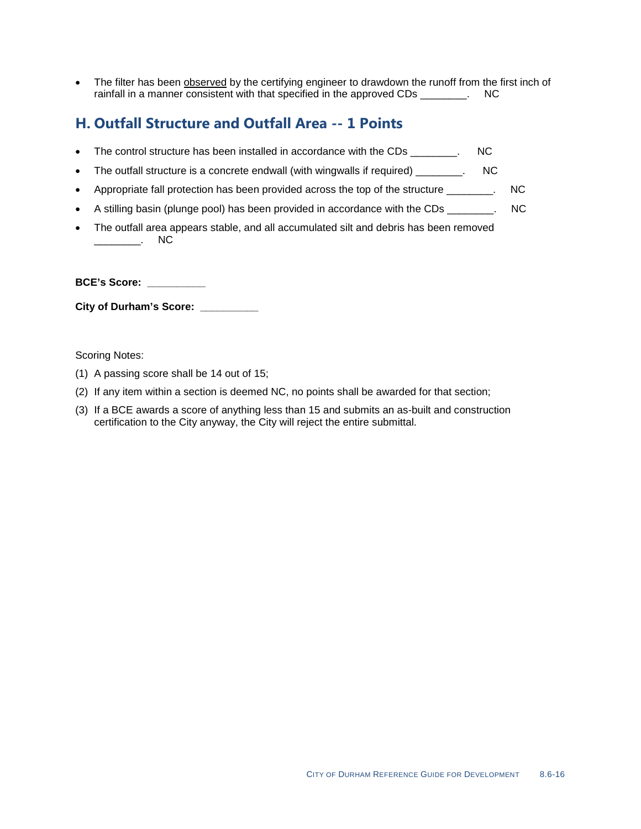• The filter has been **observed** by the certifying engineer to drawdown the runoff from the first inch of rainfall in a manner consistent with that specified in the approved CDs Theory CDC

## **H. Outfall Structure and Outfall Area -- 1 Points**

- The control structure has been installed in accordance with the CDs \_\_\_\_\_\_\_. NC
- The outfall structure is a concrete endwall (with wingwalls if required) \_\_\_\_\_\_\_. NC
- Appropriate fall protection has been provided across the top of the structure \_\_\_\_\_\_\_\_. NC
- A stilling basin (plunge pool) has been provided in accordance with the CDs  $\cdot$  NC
- The outfall area appears stable, and all accumulated silt and debris has been removed \_\_\_\_\_\_\_\_. NC

**BCE's Score: \_\_\_\_\_\_\_\_\_\_**

**City of Durham's Score: \_\_\_\_\_\_\_\_\_\_**

- (1) A passing score shall be 14 out of 15;
- (2) If any item within a section is deemed NC, no points shall be awarded for that section;
- (3) If a BCE awards a score of anything less than 15 and submits an as-built and construction certification to the City anyway, the City will reject the entire submittal.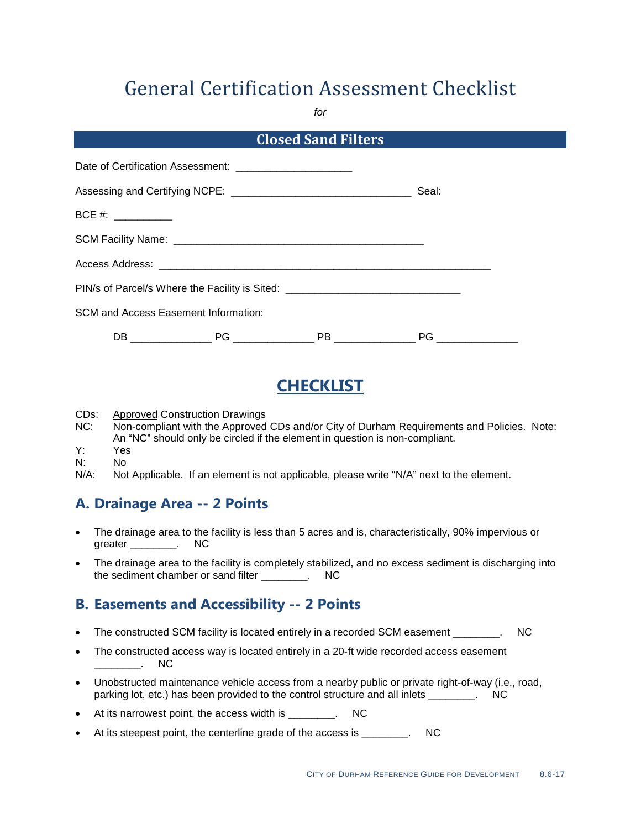*for*

|                                             | <b>Closed Sand Filters</b>                                                       |                    |  |
|---------------------------------------------|----------------------------------------------------------------------------------|--------------------|--|
|                                             |                                                                                  |                    |  |
|                                             |                                                                                  | Seal:              |  |
| $BCE #: ____________$                       |                                                                                  |                    |  |
|                                             |                                                                                  |                    |  |
|                                             |                                                                                  |                    |  |
|                                             | PIN/s of Parcel/s Where the Facility is Sited: _________________________________ |                    |  |
| <b>SCM and Access Easement Information:</b> |                                                                                  |                    |  |
|                                             | PB ________________                                                              | PG _______________ |  |

# **CHECKLIST**

- CDs: Approved Construction Drawings
- NC: Non-compliant with the Approved CDs and/or City of Durham Requirements and Policies. Note: An "NC" should only be circled if the element in question is non-compliant.
- Y: Yes
- N: No<br>N/A: Not
- Not Applicable. If an element is not applicable, please write "N/A" next to the element.

### **A. Drainage Area -- 2 Points**

- The drainage area to the facility is less than 5 acres and is, characteristically, 90% impervious or greater \_\_\_\_\_\_\_\_. NC
- The drainage area to the facility is completely stabilized, and no excess sediment is discharging into the sediment chamber or sand filter \_\_\_\_\_\_\_\_. NC

### **B. Easements and Accessibility -- 2 Points**

- The constructed SCM facility is located entirely in a recorded SCM easement \_\_\_\_\_\_\_\_. NC
- The constructed access way is located entirely in a 20-ft wide recorded access easement  $\overline{\phantom{a}}$  . NC
- Unobstructed maintenance vehicle access from a nearby public or private right-of-way (i.e., road, parking lot, etc.) has been provided to the control structure and all inlets \_\_\_\_\_\_\_\_. NC
- At its narrowest point, the access width is \_\_\_\_\_\_\_\_. NC
- At its steepest point, the centerline grade of the access is Theorem 2011.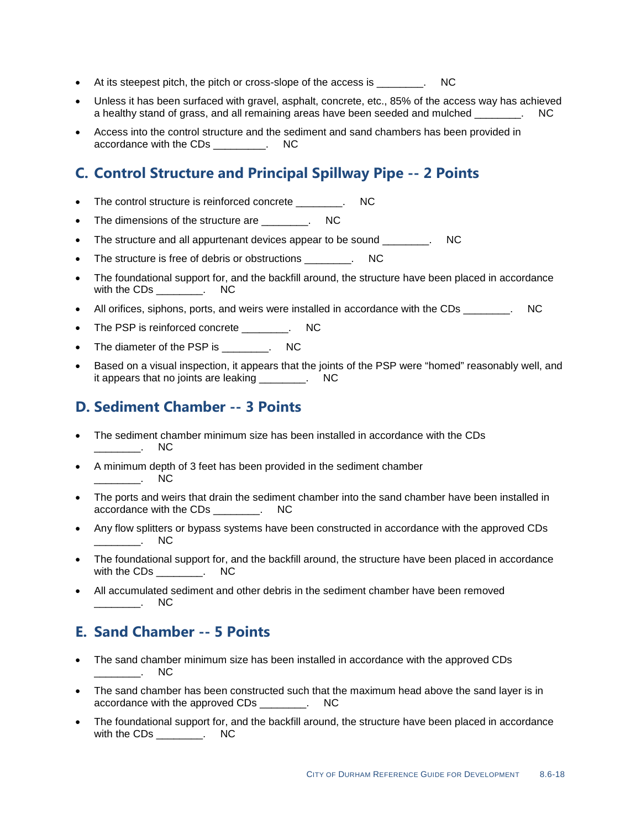- At its steepest pitch, the pitch or cross-slope of the access is \_\_\_\_\_\_\_\_. NC
- Unless it has been surfaced with gravel, asphalt, concrete, etc., 85% of the access way has achieved a healthy stand of grass, and all remaining areas have been seeded and mulched  $\qquad \qquad$ .
- Access into the control structure and the sediment and sand chambers has been provided in accordance with the CDs \_\_\_\_\_\_\_\_\_. NC

### **C. Control Structure and Principal Spillway Pipe -- 2 Points**

- The control structure is reinforced concrete The control structure is reinforced concrete
- The dimensions of the structure are \_\_\_\_\_\_\_\_. NC
- The structure and all appurtenant devices appear to be sound example and all appurtenant devices appear to be sound
- The structure is free of debris or obstructions The structure is free of debris or obstructions
- The foundational support for, and the backfill around, the structure have been placed in accordance with the CDs \_\_\_\_\_\_\_\_. NC
- All orifices, siphons, ports, and weirs were installed in accordance with the CDs  $\qquad \qquad$  NC
- The PSP is reinforced concrete \_\_\_\_\_\_\_\_. NC
- The diameter of the PSP is The diameter of the PSP is
- Based on a visual inspection, it appears that the joints of the PSP were "homed" reasonably well, and it appears that no joints are leaking Theory and NC

### **D. Sediment Chamber -- 3 Points**

- The sediment chamber minimum size has been installed in accordance with the CDs \_\_\_\_\_\_\_\_. NC
- A minimum depth of 3 feet has been provided in the sediment chamber  $\overline{\phantom{a}}$  . NC
- The ports and weirs that drain the sediment chamber into the sand chamber have been installed in accordance with the CDs \_\_\_\_\_\_\_\_. NC
- Any flow splitters or bypass systems have been constructed in accordance with the approved CDs  $\blacksquare$
- The foundational support for, and the backfill around, the structure have been placed in accordance with the CDs [15] NC
- All accumulated sediment and other debris in the sediment chamber have been removed \_\_\_\_\_\_\_\_. NC

### **E. Sand Chamber -- 5 Points**

- The sand chamber minimum size has been installed in accordance with the approved CDs  $\overline{\phantom{a}}$  NC
- The sand chamber has been constructed such that the maximum head above the sand layer is in accordance with the approved CDs \_\_\_\_\_\_\_\_. NC
- The foundational support for, and the backfill around, the structure have been placed in accordance with the CDs \_\_\_\_\_\_\_\_. NC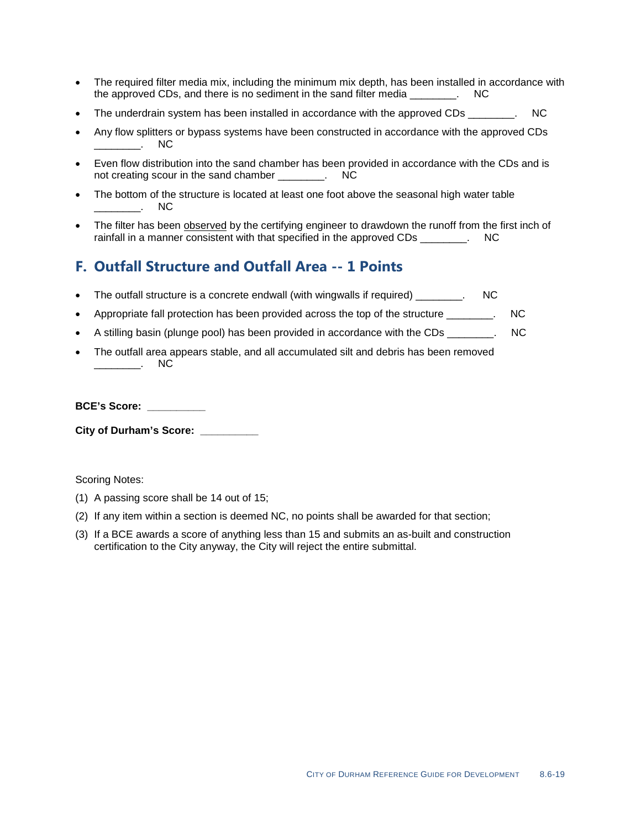- The required filter media mix, including the minimum mix depth, has been installed in accordance with the approved CDs, and there is no sediment in the sand filter media \_\_\_\_\_\_\_\_. NC
- The underdrain system has been installed in accordance with the approved CDs  $\qquad \qquad$  NC
- Any flow splitters or bypass systems have been constructed in accordance with the approved CDs  $\overline{\phantom{a}}$  NC
- Even flow distribution into the sand chamber has been provided in accordance with the CDs and is not creating scour in the sand chamber Theorem 2012.
- The bottom of the structure is located at least one foot above the seasonal high water table \_\_\_\_\_\_\_\_. NC
- The filter has been observed by the certifying engineer to drawdown the runoff from the first inch of rainfall in a manner consistent with that specified in the approved CDs Theorem CDC

### **F. Outfall Structure and Outfall Area -- 1 Points**

- The outfall structure is a concrete endwall (with wingwalls if required)  $\blacksquare$
- Appropriate fall protection has been provided across the top of the structure \_\_\_\_\_\_\_. NC
- A stilling basin (plunge pool) has been provided in accordance with the CDs \_\_\_\_\_\_\_\_. NC
- The outfall area appears stable, and all accumulated silt and debris has been removed \_\_\_\_\_\_\_\_. NC

**BCE's Score: \_\_\_\_\_\_\_\_\_\_**

**City of Durham's Score: \_\_\_\_\_\_\_\_\_\_**

- (1) A passing score shall be 14 out of 15;
- (2) If any item within a section is deemed NC, no points shall be awarded for that section;
- (3) If a BCE awards a score of anything less than 15 and submits an as-built and construction certification to the City anyway, the City will reject the entire submittal.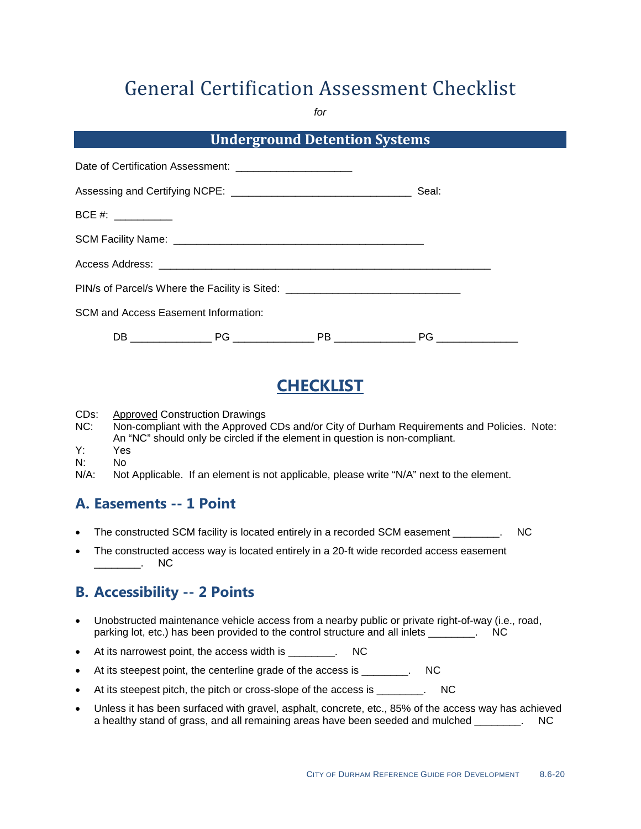*for*

|                     |                                                                                  | <b>Underground Detention Systems</b> |  |
|---------------------|----------------------------------------------------------------------------------|--------------------------------------|--|
|                     | Date of Certification Assessment: _________________________                      |                                      |  |
|                     |                                                                                  |                                      |  |
| BCE #: ____________ |                                                                                  |                                      |  |
|                     |                                                                                  |                                      |  |
|                     |                                                                                  |                                      |  |
|                     | PIN/s of Parcel/s Where the Facility is Sited: _________________________________ |                                      |  |
|                     | <b>SCM and Access Easement Information:</b>                                      |                                      |  |
|                     |                                                                                  | PB ________________                  |  |

# **CHECKLIST**

CDs:<br>NC: Approved Construction Drawings

- Non-compliant with the Approved CDs and/or City of Durham Requirements and Policies. Note: An "NC" should only be circled if the element in question is non-compliant.
- Y: Yes
- N: No<br>N/A: Not
- Not Applicable. If an element is not applicable, please write "N/A" next to the element.

### **A. Easements -- 1 Point**

- The constructed SCM facility is located entirely in a recorded SCM easement The constructed SCM facility is located entirely in a recorded SCM easement
- The constructed access way is located entirely in a 20-ft wide recorded access easement \_\_\_\_\_\_\_\_. NC

## **B. Accessibility -- 2 Points**

- Unobstructed maintenance vehicle access from a nearby public or private right-of-way (i.e., road, parking lot, etc.) has been provided to the control structure and all inlets \_\_\_\_\_\_\_\_. NC
- At its narrowest point, the access width is \_\_\_\_\_\_\_\_. NC
- At its steepest point, the centerline grade of the access is \_\_\_\_\_\_\_. NC
- At its steepest pitch, the pitch or cross-slope of the access is \_\_\_\_\_\_\_. NC
- Unless it has been surfaced with gravel, asphalt, concrete, etc., 85% of the access way has achieved a healthy stand of grass, and all remaining areas have been seeded and mulched \_\_\_\_\_\_\_\_. NC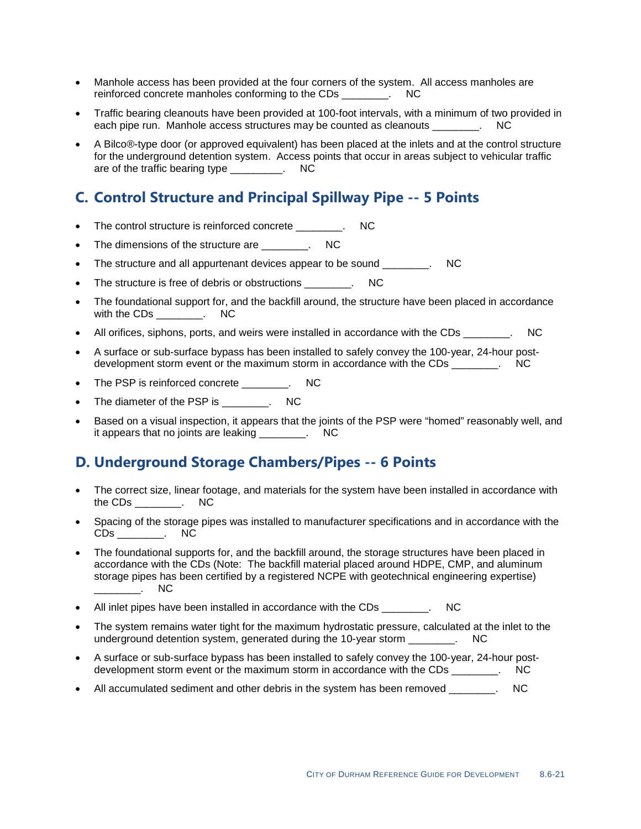- Manhole access has been provided at the four corners of the system. All access manholes are reinforced concrete manholes conforming to the CDs Theorem CDS
- Traffic bearing cleanouts have been provided at 100-foot intervals, with a minimum of two provided in each pipe run. Manhole access structures may be counted as cleanouts example. NC
- A Bilco®-type door (or approved equivalent) has been placed at the inlets and at the control structure for the underground detention system. Access points that occur in areas subject to vehicular traffic are of the traffic bearing type Theorem Contains and the traffic bearing type

### **C. Control Structure and Principal Spillway Pipe -- 5 Points**

- The control structure is reinforced concrete \_\_\_\_\_\_\_\_. NC
- The dimensions of the structure are The dimensions of the structure are
- The structure and all appurtenant devices appear to be sound \_\_\_\_\_\_\_. NC
- The structure is free of debris or obstructions The structure is free of debris or obstructions
- The foundational support for, and the backfill around, the structure have been placed in accordance with the CDs \_\_\_\_\_\_\_\_. NC
- All orifices, siphons, ports, and weirs were installed in accordance with the CDs \_\_\_\_\_\_\_. NC
- A surface or sub-surface bypass has been installed to safely convey the 100-year, 24-hour postdevelopment storm event or the maximum storm in accordance with the CDs Theorem CDC
- The PSP is reinforced concrete \_\_\_\_\_\_\_\_. NC
- The diameter of the PSP is \_\_\_\_\_\_\_\_. NC
- Based on a visual inspection, it appears that the joints of the PSP were "homed" reasonably well, and it appears that no joints are leaking Theory and NC

### **D. Underground Storage Chambers/Pipes -- 6 Points**

- The correct size, linear footage, and materials for the system have been installed in accordance with the CDs \_\_\_\_\_\_\_\_. NC
- Spacing of the storage pipes was installed to manufacturer specifications and in accordance with the CDs \_\_\_\_\_\_\_\_. NC
- The foundational supports for, and the backfill around, the storage structures have been placed in accordance with the CDs (Note: The backfill material placed around HDPE, CMP, and aluminum storage pipes has been certified by a registered NCPE with geotechnical engineering expertise)  $\overline{\phantom{a}}$  . NC
- All inlet pipes have been installed in accordance with the CDs Theory CDC RC RC RC RC RC RC RC RC RC RC RC RC
- The system remains water tight for the maximum hydrostatic pressure, calculated at the inlet to the underground detention system, generated during the 10-year storm Theory Constants and the UC
- A surface or sub-surface bypass has been installed to safely convey the 100-year, 24-hour postdevelopment storm event or the maximum storm in accordance with the CDs \_\_\_\_\_\_\_\_. NC
- All accumulated sediment and other debris in the system has been removed  $\qquad \qquad$  NC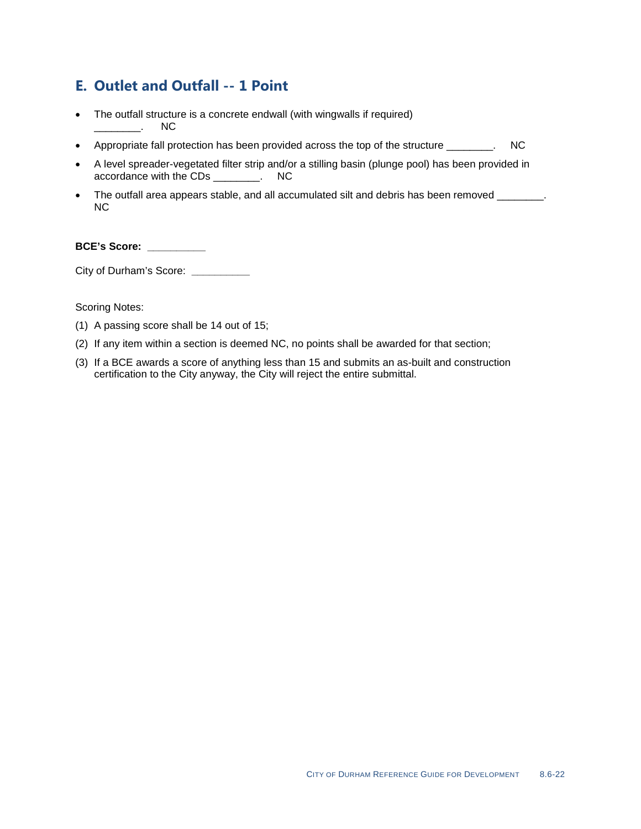### **E. Outlet and Outfall -- 1 Point**

- The outfall structure is a concrete endwall (with wingwalls if required)<br>
NC  $\overline{\phantom{a}}$
- Appropriate fall protection has been provided across the top of the structure \_\_\_\_\_\_\_\_. NC
- A level spreader-vegetated filter strip and/or a stilling basin (plunge pool) has been provided in accordance with the CDs \_\_\_\_\_\_\_\_. NC
- The outfall area appears stable, and all accumulated silt and debris has been removed \_\_\_\_\_\_\_\_. NC

#### **BCE's Score: \_\_\_\_\_\_\_\_\_\_**

City of Durham's Score: **\_\_\_\_\_\_\_\_\_\_**

- (1) A passing score shall be 14 out of 15;
- (2) If any item within a section is deemed NC, no points shall be awarded for that section;
- (3) If a BCE awards a score of anything less than 15 and submits an as-built and construction certification to the City anyway, the City will reject the entire submittal.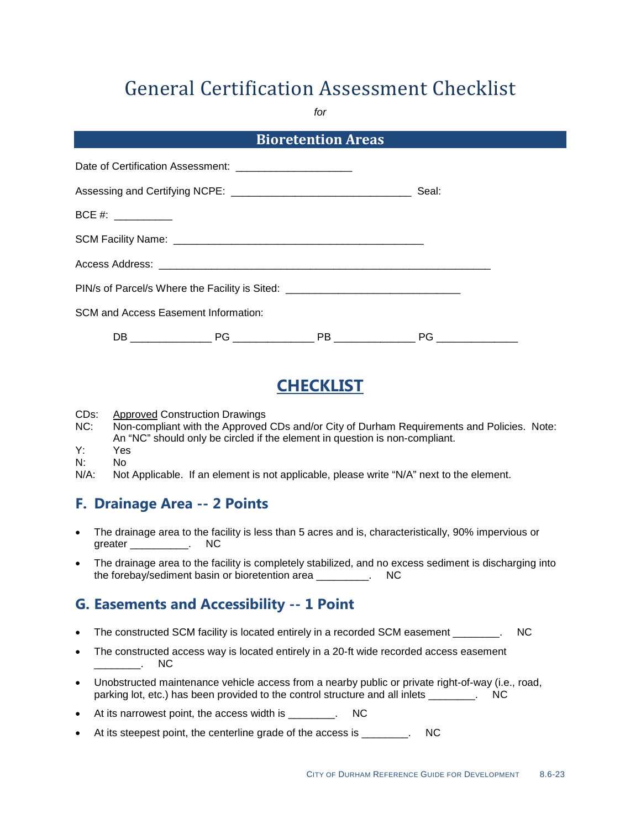*for*

|                                                             | <b>Bioretention Areas</b>                                                        |                    |  |
|-------------------------------------------------------------|----------------------------------------------------------------------------------|--------------------|--|
| Date of Certification Assessment: _________________________ |                                                                                  |                    |  |
|                                                             |                                                                                  | Seal:              |  |
| $BCE #: ____________$                                       |                                                                                  |                    |  |
|                                                             |                                                                                  |                    |  |
|                                                             |                                                                                  |                    |  |
|                                                             | PIN/s of Parcel/s Where the Facility is Sited: _________________________________ |                    |  |
| <b>SCM and Access Easement Information:</b>                 |                                                                                  |                    |  |
|                                                             | PB ________________                                                              | PG _______________ |  |

# **CHECKLIST**

CDs: Approved Construction Drawings

- NC: Non-compliant with the Approved CDs and/or City of Durham Requirements and Policies. Note: An "NC" should only be circled if the element in question is non-compliant.
- Y: Yes
- N: No<br>N/A: Not
- Not Applicable. If an element is not applicable, please write "N/A" next to the element.

### **F. Drainage Area -- 2 Points**

- The drainage area to the facility is less than 5 acres and is, characteristically, 90% impervious or greater \_\_\_\_\_\_\_\_\_\_\_. NC
- The drainage area to the facility is completely stabilized, and no excess sediment is discharging into the forebay/sediment basin or bioretention area \_\_\_\_\_\_\_\_\_. NC

### **G. Easements and Accessibility -- 1 Point**

- The constructed SCM facility is located entirely in a recorded SCM easement \_\_\_\_\_\_\_\_. NC
- The constructed access way is located entirely in a 20-ft wide recorded access easement  $\overline{\phantom{a}}$  . NC
- Unobstructed maintenance vehicle access from a nearby public or private right-of-way (i.e., road, parking lot, etc.) has been provided to the control structure and all inlets \_\_\_\_\_\_\_\_. NC
- At its narrowest point, the access width is \_\_\_\_\_\_\_\_. NC
- At its steepest point, the centerline grade of the access is Theorem 2011.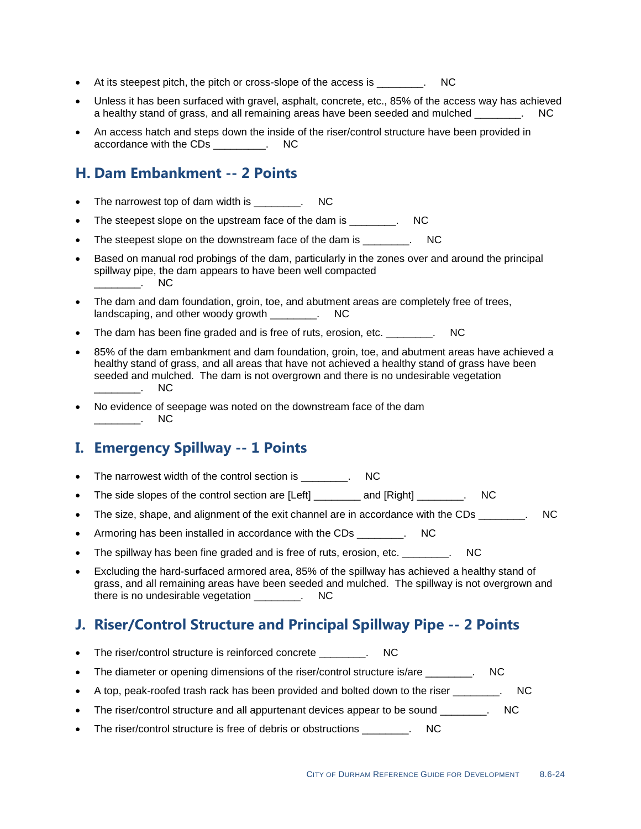- At its steepest pitch, the pitch or cross-slope of the access is \_\_\_\_\_\_\_\_. NC
- Unless it has been surfaced with gravel, asphalt, concrete, etc., 85% of the access way has achieved a healthy stand of grass, and all remaining areas have been seeded and mulched  $\qquad \qquad$ .
- An access hatch and steps down the inside of the riser/control structure have been provided in accordance with the CDs \_\_\_\_\_\_\_\_\_. NC

### **H. Dam Embankment -- 2 Points**

- The narrowest top of dam width is The narrowest top of dam width is
- The steepest slope on the upstream face of the dam is The steepest slope on the upstream face of the dam is
- The steepest slope on the downstream face of the dam is \_\_\_\_\_\_\_\_. NC
- Based on manual rod probings of the dam, particularly in the zones over and around the principal spillway pipe, the dam appears to have been well compacted  $\overline{\phantom{a}}$ . NC
- The dam and dam foundation, groin, toe, and abutment areas are completely free of trees, landscaping, and other woody growth Theory and  $\mathsf{N}\mathsf{C}$
- The dam has been fine graded and is free of ruts, erosion, etc. \_\_\_\_\_\_\_\_. NC
- 85% of the dam embankment and dam foundation, groin, toe, and abutment areas have achieved a healthy stand of grass, and all areas that have not achieved a healthy stand of grass have been seeded and mulched. The dam is not overgrown and there is no undesirable vegetation  $\overline{\phantom{a}}$  NC
- No evidence of seepage was noted on the downstream face of the dam \_\_\_\_\_\_\_\_. NC

### **I. Emergency Spillway -- 1 Points**

- The narrowest width of the control section is \_\_\_\_\_\_\_. NC
- The side slopes of the control section are [Left] \_\_\_\_\_\_\_\_ and [Right] \_\_\_\_\_\_\_. NC
- The size, shape, and alignment of the exit channel are in accordance with the CDs  $\qquad \qquad \text{NC}$
- Armoring has been installed in accordance with the CDs Theorem 2011
- The spillway has been fine graded and is free of ruts, erosion, etc. The spillway has been fine graded and is free of ruts, erosion, etc.
- Excluding the hard-surfaced armored area, 85% of the spillway has achieved a healthy stand of grass, and all remaining areas have been seeded and mulched. The spillway is not overgrown and there is no undesirable vegetation \_\_\_\_\_\_\_\_. NC

### **J. Riser/Control Structure and Principal Spillway Pipe -- 2 Points**

- The riser/control structure is reinforced concrete \_\_\_\_\_\_\_\_. NC
- The diameter or opening dimensions of the riser/control structure is/are \_\_\_\_\_\_\_. NC
- A top, peak-roofed trash rack has been provided and bolted down to the riser \_\_\_\_\_\_\_\_. NC
- The riser/control structure and all appurtenant devices appear to be sound \_\_\_\_\_\_\_. NC
- The riser/control structure is free of debris or obstructions The riser/control structure is free of debris or obstructions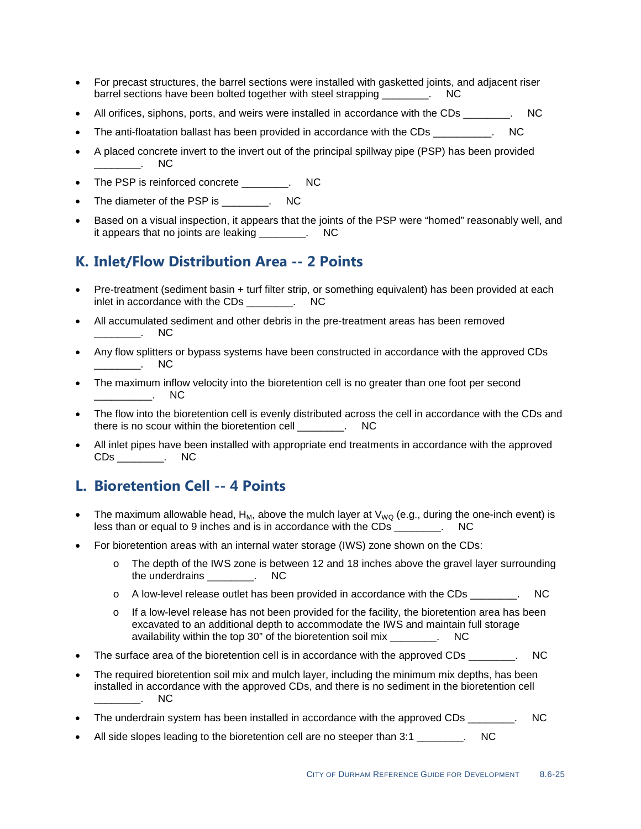- For precast structures, the barrel sections were installed with gasketted joints, and adjacent riser barrel sections have been bolted together with steel strapping \_\_\_\_\_\_\_\_. NC
- All orifices, siphons, ports, and weirs were installed in accordance with the CDs \_\_\_\_\_\_\_\_. NC
- The anti-floatation ballast has been provided in accordance with the CDs Theorem CDC
- A placed concrete invert to the invert out of the principal spillway pipe (PSP) has been provided \_\_\_\_\_\_\_\_. NC
- The PSP is reinforced concrete \_\_\_\_\_\_\_. NC
- The diameter of the PSP is The diameter of the PSP is
- Based on a visual inspection, it appears that the joints of the PSP were "homed" reasonably well, and it appears that no joints are leaking \_\_\_\_\_\_\_\_. NC

### **K. Inlet/Flow Distribution Area -- 2 Points**

- Pre-treatment (sediment basin + turf filter strip, or something equivalent) has been provided at each inlet in accordance with the CDs Theorem CDS
- All accumulated sediment and other debris in the pre-treatment areas has been removed \_\_\_\_\_\_\_\_. NC
- Any flow splitters or bypass systems have been constructed in accordance with the approved CDs  $\overline{\phantom{a}}$  . NC
- The maximum inflow velocity into the bioretention cell is no greater than one foot per second \_\_\_\_\_\_\_\_\_\_. NC
- The flow into the bioretention cell is evenly distributed across the cell in accordance with the CDs and there is no scour within the bioretention cell \_\_\_\_\_\_\_\_. NC
- All inlet pipes have been installed with appropriate end treatments in accordance with the approved CDs \_\_\_\_\_\_\_\_. NC

### **L. Bioretention Cell -- 4 Points**

- The maximum allowable head,  $H_M$ , above the mulch layer at  $V_{WQ}$  (e.g., during the one-inch event) is less than or equal to 9 inches and is in accordance with the CDs \_\_\_\_\_\_\_\_\_\_\_\_\_\_\_. NC
- For bioretention areas with an internal water storage (IWS) zone shown on the CDs:
	- o The depth of the IWS zone is between 12 and 18 inches above the gravel layer surrounding the underdrains \_\_\_\_\_\_\_\_. NC
	- $\circ$  A low-level release outlet has been provided in accordance with the CDs  $\cdot$  NC
	- $\circ$  If a low-level release has not been provided for the facility, the bioretention area has been excavated to an additional depth to accommodate the IWS and maintain full storage availability within the top 30" of the bioretention soil mix example in the NC
- The surface area of the bioretention cell is in accordance with the approved CDs \_\_\_\_\_\_\_. NC
- The required bioretention soil mix and mulch layer, including the minimum mix depths, has been installed in accordance with the approved CDs, and there is no sediment in the bioretention cell  $N<sub>C</sub>$
- The underdrain system has been installed in accordance with the approved CDs  $\qquad \qquad$  NC
- All side slopes leading to the bioretention cell are no steeper than 3:1 \_\_\_\_\_\_\_\_. NC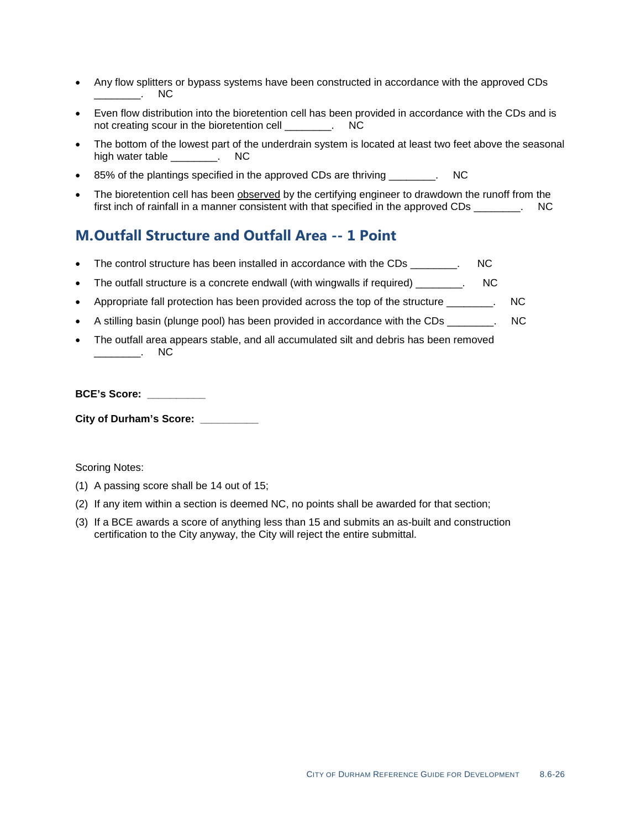- Any flow splitters or bypass systems have been constructed in accordance with the approved CDs \_\_\_\_\_\_\_\_. NC
- Even flow distribution into the bioretention cell has been provided in accordance with the CDs and is not creating scour in the bioretention cell \_\_\_\_\_\_\_\_. NC
- The bottom of the lowest part of the underdrain system is located at least two feet above the seasonal high water table \_\_\_\_\_\_\_\_. NC
- 85% of the plantings specified in the approved CDs are thriving \_\_\_\_\_\_\_\_. NC
- The bioretention cell has been **observed** by the certifying engineer to drawdown the runoff from the first inch of rainfall in a manner consistent with that specified in the approved CDs \_\_\_\_\_\_\_. NC

### **M.Outfall Structure and Outfall Area -- 1 Point**

- The control structure has been installed in accordance with the CDs \_\_\_\_\_\_\_\_. NC
- The outfall structure is a concrete endwall (with wingwalls if required)  $\blacksquare$
- Appropriate fall protection has been provided across the top of the structure \_\_\_\_\_\_\_. NC
- A stilling basin (plunge pool) has been provided in accordance with the CDs  $\qquad \qquad$  NC
- The outfall area appears stable, and all accumulated silt and debris has been removed \_\_\_\_\_\_\_\_. NC

#### **BCE's Score: \_\_\_\_\_\_\_\_\_\_**

**City of Durham's Score: \_\_\_\_\_\_\_\_\_\_**

- (1) A passing score shall be 14 out of 15;
- (2) If any item within a section is deemed NC, no points shall be awarded for that section;
- (3) If a BCE awards a score of anything less than 15 and submits an as-built and construction certification to the City anyway, the City will reject the entire submittal.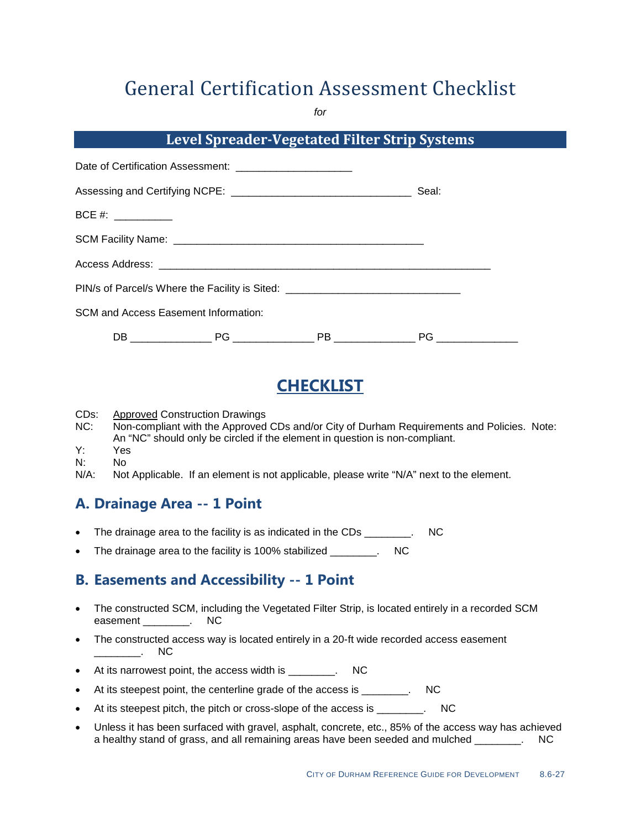*for*

### **Level Spreader-Vegetated Filter Strip Systems**

|                     | Date of Certification Assessment: _________________________                      |       |  |
|---------------------|----------------------------------------------------------------------------------|-------|--|
|                     |                                                                                  | Seal: |  |
| BCE #: ____________ |                                                                                  |       |  |
|                     |                                                                                  |       |  |
|                     |                                                                                  |       |  |
|                     | PIN/s of Parcel/s Where the Facility is Sited: _________________________________ |       |  |
|                     | SCM and Access Easement Information:                                             |       |  |
|                     |                                                                                  |       |  |

# **CHECKLIST**

- CDs: Approved Construction Drawings
- NC: Non-compliant with the Approved CDs and/or City of Durham Requirements and Policies. Note: An "NC" should only be circled if the element in question is non-compliant.
- Y: Yes
- N: No<br>N/A: Not
- Not Applicable. If an element is not applicable, please write "N/A" next to the element.

### **A. Drainage Area -- 1 Point**

- The drainage area to the facility is as indicated in the CDs The drainage area to the facility is as indicated in the CDs
- The drainage area to the facility is 100% stabilized \_\_\_\_\_\_\_\_. NC

## **B. Easements and Accessibility -- 1 Point**

- The constructed SCM, including the Vegetated Filter Strip, is located entirely in a recorded SCM easement \_\_\_\_\_\_\_\_\_. NC
- The constructed access way is located entirely in a 20-ft wide recorded access easement  $\overline{\phantom{a}}$  . NC
- At its narrowest point, the access width is \_\_\_\_\_\_\_\_. NC
- At its steepest point, the centerline grade of the access is \_\_\_\_\_\_\_\_. NC
- At its steepest pitch, the pitch or cross-slope of the access is \_\_\_\_\_\_\_\_. NC
- Unless it has been surfaced with gravel, asphalt, concrete, etc., 85% of the access way has achieved a healthy stand of grass, and all remaining areas have been seeded and mulched \_\_\_\_\_\_\_. NC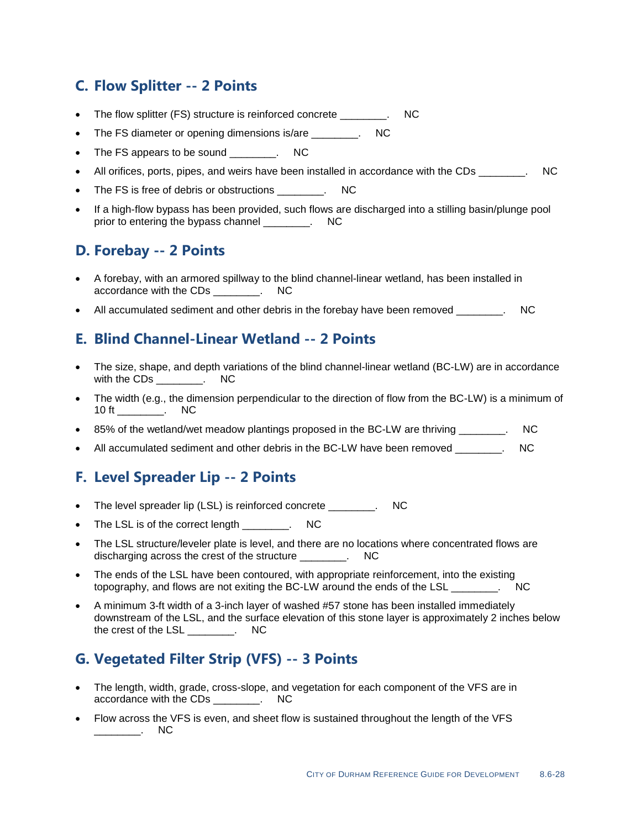### **C. Flow Splitter -- 2 Points**

- The flow splitter (FS) structure is reinforced concrete entity. NC
- The FS diameter or opening dimensions is/are The FS diameter or opening dimensions is/are
- The FS appears to be sound \_\_\_\_\_\_\_. NC
- All orifices, ports, pipes, and weirs have been installed in accordance with the CDs \_\_\_\_\_\_\_. NC
- The FS is free of debris or obstructions The FS is free of debris or obstructions
- If a high-flow bypass has been provided, such flows are discharged into a stilling basin/plunge pool prior to entering the bypass channel \_\_\_\_\_\_\_\_. NC

### **D. Forebay -- 2 Points**

- A forebay, with an armored spillway to the blind channel-linear wetland, has been installed in accordance with the CDs \_\_\_\_\_\_\_\_. NC
- All accumulated sediment and other debris in the forebay have been removed exception of the NC

### **E. Blind Channel-Linear Wetland -- 2 Points**

- The size, shape, and depth variations of the blind channel-linear wetland (BC-LW) are in accordance with the CDs \_\_\_\_\_\_\_\_\_. NC
- The width (e.g., the dimension perpendicular to the direction of flow from the BC-LW) is a minimum of 10 ft \_\_\_\_\_\_\_\_\_\_. NC
- 85% of the wetland/wet meadow plantings proposed in the BC-LW are thriving Theorem CO
- All accumulated sediment and other debris in the BC-LW have been removed \_\_\_\_\_\_\_. NC

### **F. Level Spreader Lip -- 2 Points**

- The level spreader lip (LSL) is reinforced concrete \_\_\_\_\_\_\_\_. NC
- The LSL is of the correct length The LSL is of the correct length
- The LSL structure/leveler plate is level, and there are no locations where concentrated flows are discharging across the crest of the structure  $\overline{\phantom{a}}$ . NC
- The ends of the LSL have been contoured, with appropriate reinforcement, into the existing topography, and flows are not exiting the BC-LW around the ends of the LSL \_\_\_\_\_\_\_\_. NC
- A minimum 3-ft width of a 3-inch layer of washed #57 stone has been installed immediately downstream of the LSL, and the surface elevation of this stone layer is approximately 2 inches below the crest of the LSL \_\_\_\_\_\_\_\_. NC

### **G. Vegetated Filter Strip (VFS) -- 3 Points**

- The length, width, grade, cross-slope, and vegetation for each component of the VFS are in accordance with the CDs \_\_\_\_\_\_\_\_. NC
- Flow across the VFS is even, and sheet flow is sustained throughout the length of the VFS \_\_\_\_\_\_\_\_. NC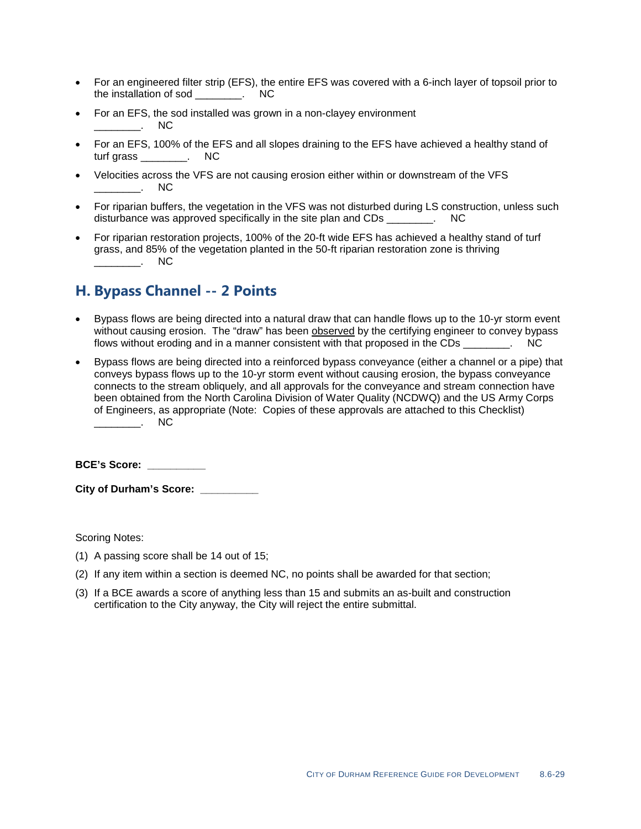- For an engineered filter strip (EFS), the entire EFS was covered with a 6-inch layer of topsoil prior to the installation of sod \_\_\_\_\_\_\_\_. NC
- For an EFS, the sod installed was grown in a non-clayey environment \_\_\_\_\_\_\_\_. NC
- For an EFS, 100% of the EFS and all slopes draining to the EFS have achieved a healthy stand of turf grass \_\_\_\_\_\_\_\_. NC
- Velocities across the VFS are not causing erosion either within or downstream of the VFS  $\blacksquare$   $\blacksquare$   $\blacksquare$
- For riparian buffers, the vegetation in the VFS was not disturbed during LS construction, unless such disturbance was approved specifically in the site plan and CDs Theorem CDC
- For riparian restoration projects, 100% of the 20-ft wide EFS has achieved a healthy stand of turf grass, and 85% of the vegetation planted in the 50-ft riparian restoration zone is thriving  $\overline{\phantom{a}}$  . NC

### **H. Bypass Channel -- 2 Points**

- Bypass flows are being directed into a natural draw that can handle flows up to the 10-yr storm event without causing erosion. The "draw" has been <u>observed</u> by the certifying engineer to convey bypass flows without eroding and in a manner consistent with that proposed in the CDs  $\qquad \qquad \text{NC}$
- Bypass flows are being directed into a reinforced bypass conveyance (either a channel or a pipe) that conveys bypass flows up to the 10-yr storm event without causing erosion, the bypass conveyance connects to the stream obliquely, and all approvals for the conveyance and stream connection have been obtained from the North Carolina Division of Water Quality (NCDWQ) and the US Army Corps of Engineers, as appropriate (Note: Copies of these approvals are attached to this Checklist)  $\overline{\phantom{a}}$   $\overline{\phantom{a}}$   $\overline{\phantom{a}}$  NC

**BCE's Score: \_\_\_\_\_\_\_\_\_\_**

**City of Durham's Score: \_\_\_\_\_\_\_\_\_\_**

- (1) A passing score shall be 14 out of 15;
- (2) If any item within a section is deemed NC, no points shall be awarded for that section;
- (3) If a BCE awards a score of anything less than 15 and submits an as-built and construction certification to the City anyway, the City will reject the entire submittal.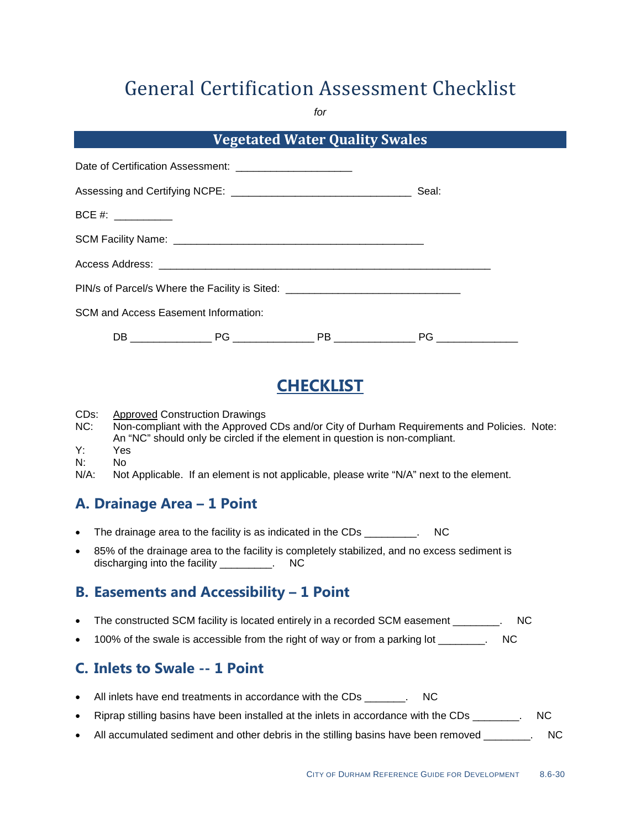*for*

| <b>Vegetated Water Quality Swales</b>                       |  |                                                                                  |       |
|-------------------------------------------------------------|--|----------------------------------------------------------------------------------|-------|
| Date of Certification Assessment: _________________________ |  |                                                                                  |       |
|                                                             |  |                                                                                  | Seal: |
| BCE #: ____________                                         |  |                                                                                  |       |
|                                                             |  |                                                                                  |       |
|                                                             |  |                                                                                  |       |
|                                                             |  | PIN/s of Parcel/s Where the Facility is Sited: _________________________________ |       |
| <b>SCM and Access Easement Information:</b>                 |  |                                                                                  |       |
|                                                             |  |                                                                                  |       |

# **CHECKLIST**

CDs:<br>NC: Approved Construction Drawings

- Non-compliant with the Approved CDs and/or City of Durham Requirements and Policies. Note: An "NC" should only be circled if the element in question is non-compliant.
- Y: Yes
- N: No<br>N/A: Not
- Not Applicable. If an element is not applicable, please write "N/A" next to the element.

### **A. Drainage Area – 1 Point**

- The drainage area to the facility is as indicated in the CDs The drainage area to the facility is as indicated in the CDs
- 85% of the drainage area to the facility is completely stabilized, and no excess sediment is discharging into the facility \_\_\_\_\_\_\_\_\_. NC

## **B. Easements and Accessibility – 1 Point**

- The constructed SCM facility is located entirely in a recorded SCM easement \_\_\_\_\_\_\_\_. NC
- 100% of the swale is accessible from the right of way or from a parking lot \_\_\_\_\_\_\_. NC

### **C. Inlets to Swale -- 1 Point**

- All inlets have end treatments in accordance with the CDs Theorem 2011
- Riprap stilling basins have been installed at the inlets in accordance with the CDs Theory. NC
- All accumulated sediment and other debris in the stilling basins have been removed \_\_\_\_\_\_\_\_. NC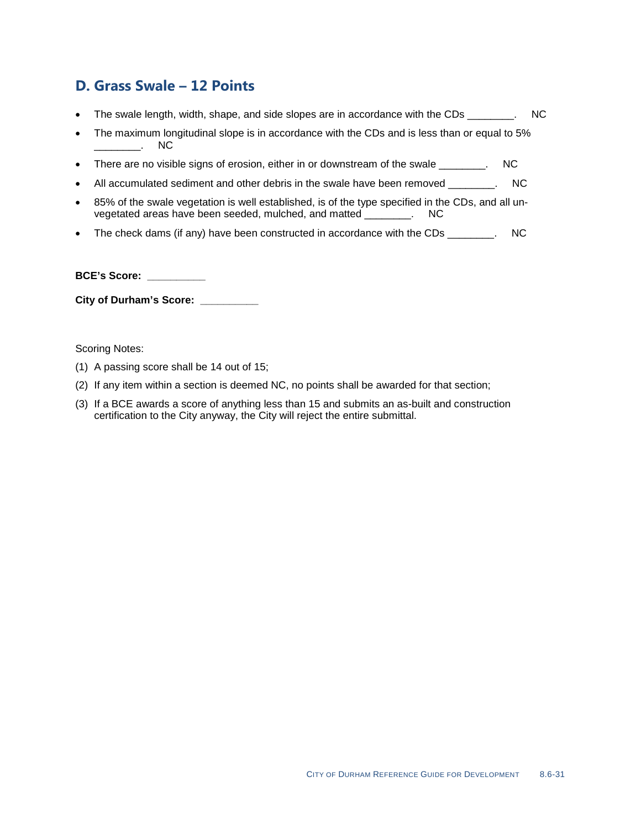### **D. Grass Swale – 12 Points**

- The swale length, width, shape, and side slopes are in accordance with the CDs \_\_\_\_\_\_\_. NC
- The maximum longitudinal slope is in accordance with the CDs and is less than or equal to 5%<br>
NC  $\sim$
- There are no visible signs of erosion, either in or downstream of the swale \_\_\_\_\_\_\_. NC
- All accumulated sediment and other debris in the swale have been removed \_\_\_\_\_\_\_\_. NC
- 85% of the swale vegetation is well established, is of the type specified in the CDs, and all un-<br>vegetated areas have been seeded, mulched, and matted ... NC vegetated areas have been seeded, mulched, and matted
- The check dams (if any) have been constructed in accordance with the CDs \_\_\_\_\_\_\_. NC

**BCE's Score: \_\_\_\_\_\_\_\_\_\_**

**City of Durham's Score: \_\_\_\_\_\_\_\_\_\_**

- (1) A passing score shall be 14 out of 15;
- (2) If any item within a section is deemed NC, no points shall be awarded for that section;
- (3) If a BCE awards a score of anything less than 15 and submits an as-built and construction certification to the City anyway, the City will reject the entire submittal.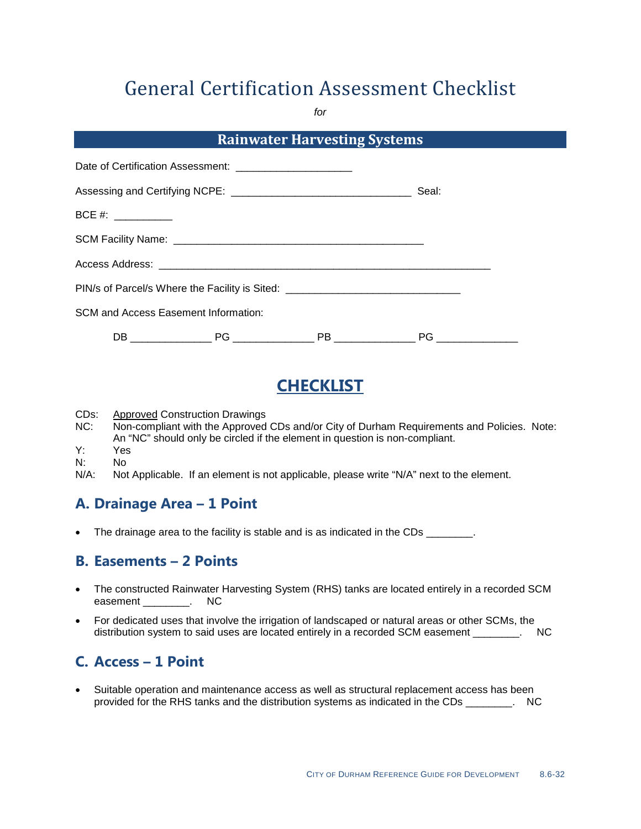*for*

| <b>Rainwater Harvesting Systems</b> |                                                             |                                                                                  |    |  |  |  |  |
|-------------------------------------|-------------------------------------------------------------|----------------------------------------------------------------------------------|----|--|--|--|--|
|                                     | Date of Certification Assessment: _________________________ |                                                                                  |    |  |  |  |  |
|                                     |                                                             | Seal:                                                                            |    |  |  |  |  |
| $BCE #: ____________$               |                                                             |                                                                                  |    |  |  |  |  |
|                                     |                                                             |                                                                                  |    |  |  |  |  |
|                                     |                                                             |                                                                                  |    |  |  |  |  |
|                                     |                                                             | PIN/s of Parcel/s Where the Facility is Sited: _________________________________ |    |  |  |  |  |
|                                     | <b>SCM and Access Easement Information:</b>                 |                                                                                  |    |  |  |  |  |
|                                     |                                                             | PB _______________                                                               | PG |  |  |  |  |

# **CHECKLIST**

- CDs:<br>NC: Approved Construction Drawings
- Non-compliant with the Approved CDs and/or City of Durham Requirements and Policies. Note: An "NC" should only be circled if the element in question is non-compliant.
- Y: Yes
- N: No<br>N/A: Not
- Not Applicable. If an element is not applicable, please write "N/A" next to the element.

### **A. Drainage Area – 1 Point**

• The drainage area to the facility is stable and is as indicated in the CDs \_\_\_\_\_\_\_.

### **B. Easements – 2 Points**

- The constructed Rainwater Harvesting System (RHS) tanks are located entirely in a recorded SCM easement Latinum RC
- For dedicated uses that involve the irrigation of landscaped or natural areas or other SCMs, the distribution system to said uses are located entirely in a recorded SCM easement \_\_\_\_\_\_\_\_. NC

## **C. Access – 1 Point**

• Suitable operation and maintenance access as well as structural replacement access has been provided for the RHS tanks and the distribution systems as indicated in the CDs \_\_\_\_\_\_\_\_. NC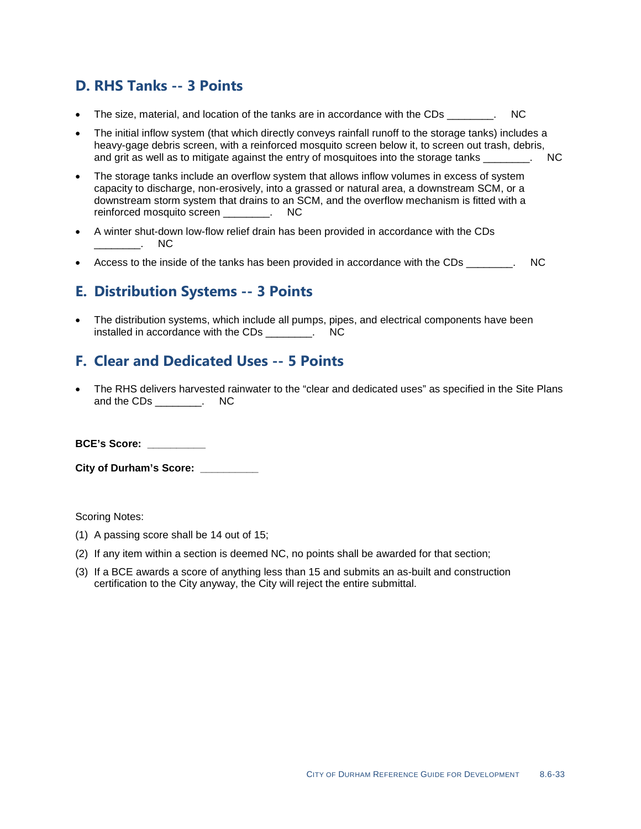### **D. RHS Tanks -- 3 Points**

- The size, material, and location of the tanks are in accordance with the CDs \_\_\_\_\_\_\_. NC
- The initial inflow system (that which directly conveys rainfall runoff to the storage tanks) includes a heavy-gage debris screen, with a reinforced mosquito screen below it, to screen out trash, debris, and grit as well as to mitigate against the entry of mosquitoes into the storage tanks  $\sim$
- The storage tanks include an overflow system that allows inflow volumes in excess of system capacity to discharge, non-erosively, into a grassed or natural area, a downstream SCM, or a downstream storm system that drains to an SCM, and the overflow mechanism is fitted with a reinforced mosquito screen reinforced mosquito screen **was**.
- A winter shut-down low-flow relief drain has been provided in accordance with the CDs \_\_\_\_\_\_\_\_. NC
- Access to the inside of the tanks has been provided in accordance with the CDs  $\qquad \qquad$ .

### **E. Distribution Systems -- 3 Points**

• The distribution systems, which include all pumps, pipes, and electrical components have been installed in accordance with the CDs The SNC

### **F. Clear and Dedicated Uses -- 5 Points**

• The RHS delivers harvested rainwater to the "clear and dedicated uses" as specified in the Site Plans and the CDs \_\_\_\_\_\_\_\_. NC

**BCE's Score: \_\_\_\_\_\_\_\_\_\_**

**City of Durham's Score: \_\_\_\_\_\_\_\_\_\_**

- (1) A passing score shall be 14 out of 15;
- (2) If any item within a section is deemed NC, no points shall be awarded for that section;
- (3) If a BCE awards a score of anything less than 15 and submits an as-built and construction certification to the City anyway, the City will reject the entire submittal.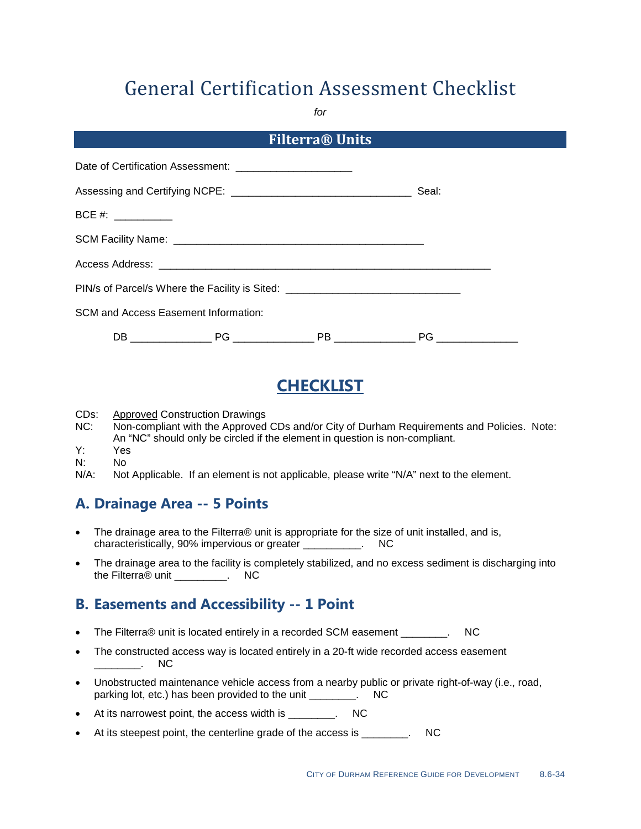*for*

| <b>Filterra® Units</b>                                      |  |                                                                                  |       |  |  |  |  |
|-------------------------------------------------------------|--|----------------------------------------------------------------------------------|-------|--|--|--|--|
| Date of Certification Assessment: _________________________ |  |                                                                                  |       |  |  |  |  |
|                                                             |  |                                                                                  | Seal: |  |  |  |  |
| $BCE #: ____________$                                       |  |                                                                                  |       |  |  |  |  |
|                                                             |  |                                                                                  |       |  |  |  |  |
|                                                             |  |                                                                                  |       |  |  |  |  |
|                                                             |  | PIN/s of Parcel/s Where the Facility is Sited: _________________________________ |       |  |  |  |  |
| <b>SCM and Access Easement Information:</b>                 |  |                                                                                  |       |  |  |  |  |
|                                                             |  |                                                                                  |       |  |  |  |  |

# **CHECKLIST**

CDs:<br>NC: Approved Construction Drawings

- Non-compliant with the Approved CDs and/or City of Durham Requirements and Policies. Note: An "NC" should only be circled if the element in question is non-compliant.
- Y: Yes
- N: No<br>N/A: Not
- Not Applicable. If an element is not applicable, please write "N/A" next to the element.

### **A. Drainage Area -- 5 Points**

- The drainage area to the Filterra® unit is appropriate for the size of unit installed, and is, characteristically, 90% impervious or greater \_\_\_\_\_\_\_\_\_\_. NC
- The drainage area to the facility is completely stabilized, and no excess sediment is discharging into the Filterra® unit \_\_\_\_\_\_\_\_\_. NC

### **B. Easements and Accessibility -- 1 Point**

- The Filterra® unit is located entirely in a recorded SCM easement \_\_\_\_\_\_\_\_. NC
- The constructed access way is located entirely in a 20-ft wide recorded access easement  $\overline{\phantom{a}}$  . NC
- Unobstructed maintenance vehicle access from a nearby public or private right-of-way (i.e., road, parking lot, etc.) has been provided to the unit \_\_\_\_\_\_\_\_. NC
- At its narrowest point, the access width is \_\_\_\_\_\_\_\_. NC
- At its steepest point, the centerline grade of the access is Theorem 2011.